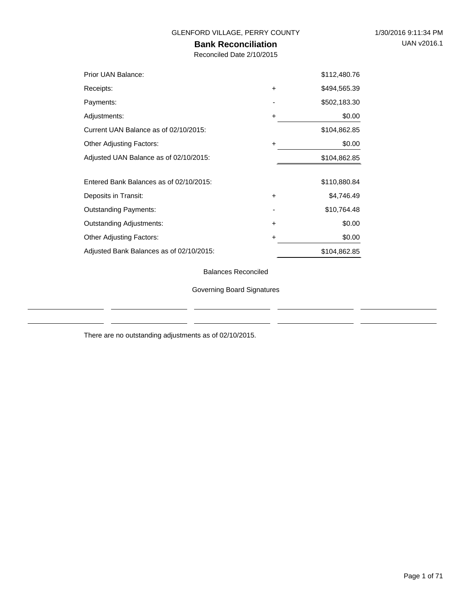÷.

### GLENFORD VILLAGE, PERRY COUNTY 1/30/2016 9:11:34 PM

### **Bank Reconciliation**

Reconciled Date 2/10/2015

| Prior UAN Balance:                       |           | \$112,480.76 |
|------------------------------------------|-----------|--------------|
| Receipts:                                | $\ddot{}$ | \$494,565.39 |
| Payments:                                |           | \$502,183.30 |
| Adjustments:                             | ÷         | \$0.00       |
| Current UAN Balance as of 02/10/2015:    |           | \$104,862.85 |
| <b>Other Adjusting Factors:</b>          | ٠         | \$0.00       |
| Adjusted UAN Balance as of 02/10/2015:   |           | \$104,862.85 |
|                                          |           |              |
| Entered Bank Balances as of 02/10/2015:  |           | \$110,880.84 |
| Deposits in Transit:                     | $\ddot{}$ | \$4,746.49   |
| <b>Outstanding Payments:</b>             |           | \$10,764.48  |
| <b>Outstanding Adjustments:</b>          | $\ddot{}$ | \$0.00       |
| <b>Other Adjusting Factors:</b>          | ٠         | \$0.00       |
| Adjusted Bank Balances as of 02/10/2015: |           | \$104,862.85 |

Balances Reconciled

Governing Board Signatures

There are no outstanding adjustments as of 02/10/2015.

 $\frac{1}{2}$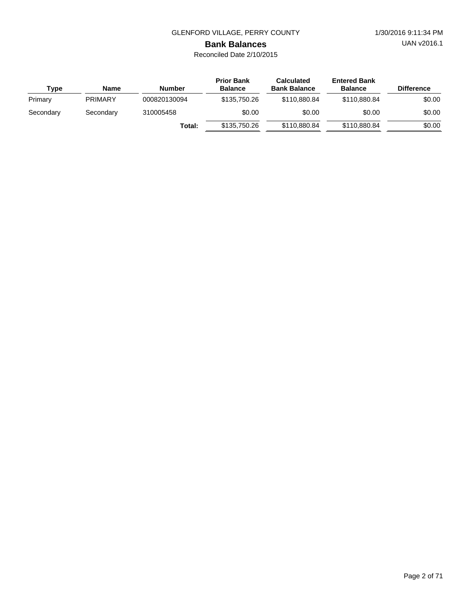UAN v2016.1

# **Bank Balances**

| Type      | <b>Name</b>    | <b>Number</b> | <b>Prior Bank</b><br><b>Balance</b> | <b>Calculated</b><br><b>Bank Balance</b> | <b>Entered Bank</b><br><b>Balance</b> | <b>Difference</b> |
|-----------|----------------|---------------|-------------------------------------|------------------------------------------|---------------------------------------|-------------------|
| Primary   | <b>PRIMARY</b> | 000820130094  | \$135,750.26                        | \$110,880,84                             | \$110,880,84                          | \$0.00            |
| Secondary | Secondary      | 310005458     | \$0.00                              | \$0.00                                   | \$0.00                                | \$0.00            |
|           |                | Total:        | \$135,750.26                        | \$110,880,84                             | \$110,880,84                          | \$0.00            |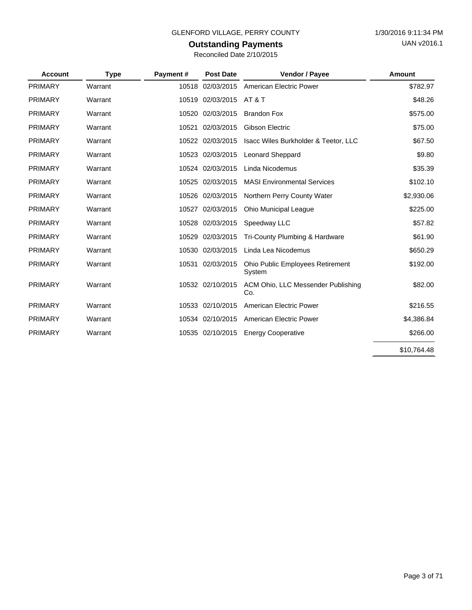### **Outstanding Payments** Reconciled Date 2/10/2015

| <b>Account</b> | <b>Type</b> | Payment# | <b>Post Date</b> | Vendor / Payee                             | Amount      |
|----------------|-------------|----------|------------------|--------------------------------------------|-------------|
| <b>PRIMARY</b> | Warrant     | 10518    | 02/03/2015       | American Electric Power                    | \$782.97    |
| <b>PRIMARY</b> | Warrant     | 10519    | 02/03/2015       | <b>AT &amp; T</b>                          | \$48.26     |
| <b>PRIMARY</b> | Warrant     | 10520    | 02/03/2015       | <b>Brandon Fox</b>                         | \$575.00    |
| <b>PRIMARY</b> | Warrant     | 10521    | 02/03/2015       | <b>Gibson Electric</b>                     | \$75.00     |
| <b>PRIMARY</b> | Warrant     |          | 10522 02/03/2015 | Isacc Wiles Burkholder & Teetor, LLC       | \$67.50     |
| <b>PRIMARY</b> | Warrant     | 10523    | 02/03/2015       | <b>Leonard Sheppard</b>                    | \$9.80      |
| <b>PRIMARY</b> | Warrant     |          | 10524 02/03/2015 | Linda Nicodemus                            | \$35.39     |
| <b>PRIMARY</b> | Warrant     | 10525    | 02/03/2015       | <b>MASI Environmental Services</b>         | \$102.10    |
| <b>PRIMARY</b> | Warrant     | 10526    | 02/03/2015       | Northern Perry County Water                | \$2,930.06  |
| <b>PRIMARY</b> | Warrant     | 10527    | 02/03/2015       | <b>Ohio Municipal League</b>               | \$225.00    |
| <b>PRIMARY</b> | Warrant     | 10528    | 02/03/2015       | Speedway LLC                               | \$57.82     |
| <b>PRIMARY</b> | Warrant     | 10529    | 02/03/2015       | Tri-County Plumbing & Hardware             | \$61.90     |
| <b>PRIMARY</b> | Warrant     | 10530    | 02/03/2015       | Linda Lea Nicodemus                        | \$650.29    |
| <b>PRIMARY</b> | Warrant     | 10531    | 02/03/2015       | Ohio Public Employees Retirement<br>System | \$192.00    |
| <b>PRIMARY</b> | Warrant     |          | 10532 02/10/2015 | ACM Ohio, LLC Messender Publishing<br>Co.  | \$82.00     |
| <b>PRIMARY</b> | Warrant     | 10533    | 02/10/2015       | American Electric Power                    | \$216.55    |
| <b>PRIMARY</b> | Warrant     |          | 10534 02/10/2015 | American Electric Power                    | \$4,386.84  |
| <b>PRIMARY</b> | Warrant     |          | 10535 02/10/2015 | <b>Energy Cooperative</b>                  | \$266.00    |
|                |             |          |                  |                                            | \$10,764.48 |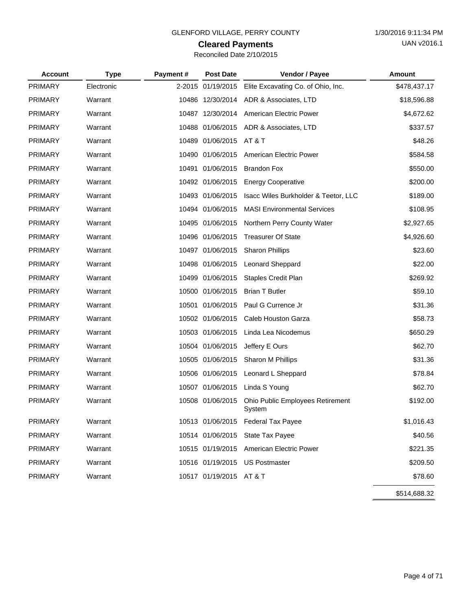# **Cleared Payments**

| Reconciled Date 2/10/2015 |  |  |  |
|---------------------------|--|--|--|
|---------------------------|--|--|--|

| <b>Account</b> | <b>Type</b> | Payment# | <b>Post Date</b>        | Vendor / Payee                             | <b>Amount</b> |
|----------------|-------------|----------|-------------------------|--------------------------------------------|---------------|
| <b>PRIMARY</b> | Electronic  |          | 2-2015 01/19/2015       | Elite Excavating Co. of Ohio, Inc.         | \$478,437.17  |
| <b>PRIMARY</b> | Warrant     |          | 10486 12/30/2014        | ADR & Associates, LTD                      | \$18,596.88   |
| <b>PRIMARY</b> | Warrant     |          | 10487 12/30/2014        | American Electric Power                    | \$4,672.62    |
| <b>PRIMARY</b> | Warrant     |          | 10488 01/06/2015        | ADR & Associates, LTD                      | \$337.57      |
| <b>PRIMARY</b> | Warrant     |          | 10489 01/06/2015        | AT & T                                     | \$48.26       |
| <b>PRIMARY</b> | Warrant     |          | 10490 01/06/2015        | American Electric Power                    | \$584.58      |
| <b>PRIMARY</b> | Warrant     |          | 10491 01/06/2015        | <b>Brandon Fox</b>                         | \$550.00      |
| <b>PRIMARY</b> | Warrant     |          | 10492 01/06/2015        | <b>Energy Cooperative</b>                  | \$200.00      |
| <b>PRIMARY</b> | Warrant     |          | 10493 01/06/2015        | Isacc Wiles Burkholder & Teetor, LLC       | \$189.00      |
| <b>PRIMARY</b> | Warrant     |          | 10494 01/06/2015        | <b>MASI Environmental Services</b>         | \$108.95      |
| <b>PRIMARY</b> | Warrant     |          | 10495 01/06/2015        | Northern Perry County Water                | \$2,927.65    |
| <b>PRIMARY</b> | Warrant     |          | 10496 01/06/2015        | <b>Treasurer Of State</b>                  | \$4,926.60    |
| <b>PRIMARY</b> | Warrant     |          | 10497 01/06/2015        | <b>Sharon Phillips</b>                     | \$23.60       |
| <b>PRIMARY</b> | Warrant     |          | 10498 01/06/2015        | <b>Leonard Sheppard</b>                    | \$22.00       |
| <b>PRIMARY</b> | Warrant     |          | 10499 01/06/2015        | Staples Credit Plan                        | \$269.92      |
| <b>PRIMARY</b> | Warrant     |          | 10500 01/06/2015        | <b>Brian T Butler</b>                      | \$59.10       |
| <b>PRIMARY</b> | Warrant     |          | 10501 01/06/2015        | Paul G Currence Jr                         | \$31.36       |
| <b>PRIMARY</b> | Warrant     |          | 10502 01/06/2015        | Caleb Houston Garza                        | \$58.73       |
| <b>PRIMARY</b> | Warrant     |          | 10503 01/06/2015        | Linda Lea Nicodemus                        | \$650.29      |
| <b>PRIMARY</b> | Warrant     |          | 10504 01/06/2015        | Jeffery E Ours                             | \$62.70       |
| <b>PRIMARY</b> | Warrant     |          | 10505 01/06/2015        | Sharon M Phillips                          | \$31.36       |
| <b>PRIMARY</b> | Warrant     |          | 10506 01/06/2015        | Leonard L Sheppard                         | \$78.84       |
| <b>PRIMARY</b> | Warrant     |          | 10507 01/06/2015        | Linda S Young                              | \$62.70       |
| <b>PRIMARY</b> | Warrant     |          | 10508 01/06/2015        | Ohio Public Employees Retirement<br>System | \$192.00      |
| <b>PRIMARY</b> | Warrant     |          |                         | 10513 01/06/2015 Federal Tax Payee         | \$1,016.43    |
| PRIMARY        | Warrant     |          | 10514 01/06/2015        | State Tax Payee                            | \$40.56       |
| <b>PRIMARY</b> | Warrant     |          | 10515 01/19/2015        | American Electric Power                    | \$221.35      |
| <b>PRIMARY</b> | Warrant     |          | 10516 01/19/2015        | <b>US Postmaster</b>                       | \$209.50      |
| PRIMARY        | Warrant     |          | 10517 01/19/2015 AT & T |                                            | \$78.60       |
|                |             |          |                         |                                            | \$514,688.32  |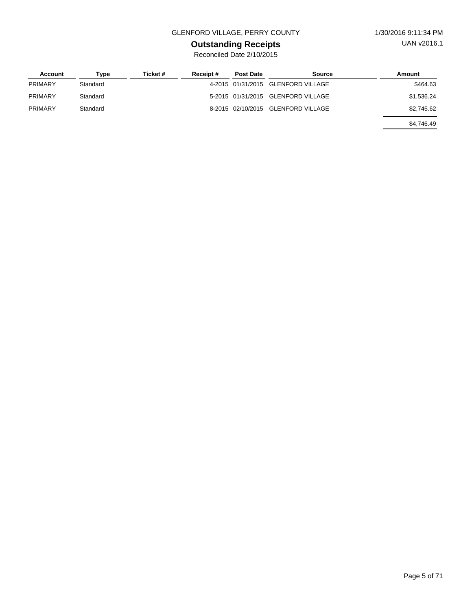### GLENFORD VILLAGE, PERRY COUNTY 1/30/2016 9:11:34 PM

## **Outstanding Receipts**

| Account        | Type     | Ticket # | Receipt# | <b>Post Date</b> | Source                             | Amount     |
|----------------|----------|----------|----------|------------------|------------------------------------|------------|
| <b>PRIMARY</b> | Standard |          |          |                  | 4-2015 01/31/2015 GLENFORD VILLAGE | \$464.63   |
| <b>PRIMARY</b> | Standard |          |          |                  | 5-2015 01/31/2015 GLENFORD VILLAGE | \$1,536.24 |
| <b>PRIMARY</b> | Standard |          |          |                  | 8-2015 02/10/2015 GLENFORD VILLAGE | \$2,745.62 |
|                |          |          |          |                  |                                    | \$4,746.49 |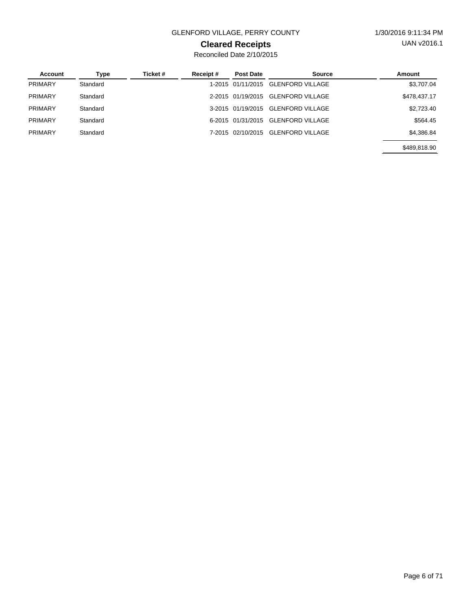### GLENFORD VILLAGE, PERRY COUNTY 1/30/2016 9:11:34 PM

### **Cleared Receipts**

| Account        | Type     | Ticket # | Receipt# | <b>Post Date</b>  | Source                  | Amount       |
|----------------|----------|----------|----------|-------------------|-------------------------|--------------|
| <b>PRIMARY</b> | Standard |          |          | 1-2015 01/11/2015 | <b>GLENFORD VILLAGE</b> | \$3,707.04   |
| <b>PRIMARY</b> | Standard |          |          | 2-2015 01/19/2015 | <b>GLENFORD VILLAGE</b> | \$478,437.17 |
| PRIMARY        | Standard |          |          | 3-2015 01/19/2015 | GLENFORD VILLAGE        | \$2,723.40   |
| <b>PRIMARY</b> | Standard |          |          | 6-2015 01/31/2015 | <b>GLENFORD VILLAGE</b> | \$564.45     |
| <b>PRIMARY</b> | Standard |          |          | 7-2015 02/10/2015 | <b>GLENFORD VILLAGE</b> | \$4,386.84   |
|                |          |          |          |                   |                         | \$489,818,90 |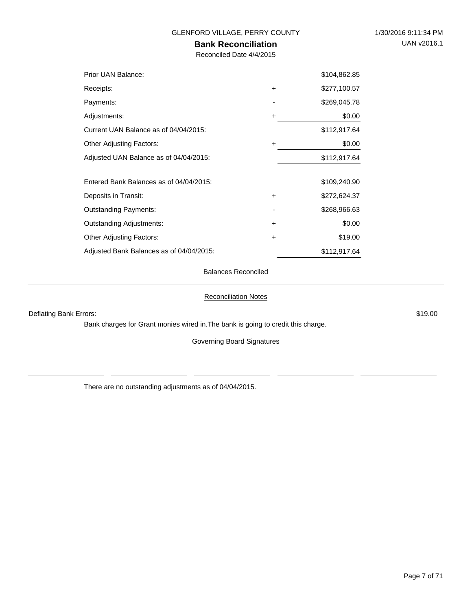### **Bank Reconciliation**

Reconciled Date 4/4/2015

| Prior UAN Balance:                       |           | \$104,862.85 |
|------------------------------------------|-----------|--------------|
| Receipts:                                | $\ddot{}$ | \$277,100.57 |
| Payments:                                |           | \$269,045.78 |
| Adjustments:                             | $\ddot{}$ | \$0.00       |
| Current UAN Balance as of 04/04/2015:    |           | \$112,917.64 |
| <b>Other Adjusting Factors:</b>          | $\ddot{}$ | \$0.00       |
| Adjusted UAN Balance as of 04/04/2015:   |           | \$112,917.64 |
| Entered Bank Balances as of 04/04/2015:  |           | \$109,240.90 |
| Deposits in Transit:                     | $\ddot{}$ | \$272,624.37 |
| <b>Outstanding Payments:</b>             |           | \$268,966.63 |
| <b>Outstanding Adjustments:</b>          | $\ddot{}$ | \$0.00       |
| <b>Other Adjusting Factors:</b>          | +         | \$19.00      |
| Adjusted Bank Balances as of 04/04/2015: |           | \$112,917.64 |

Balances Reconciled

Reconciliation Notes

Deflating Bank Errors: \$19.00

 $\overline{a}$ 

Bank charges for Grant monies wired in.The bank is going to credit this charge.

Governing Board Signatures

There are no outstanding adjustments as of 04/04/2015.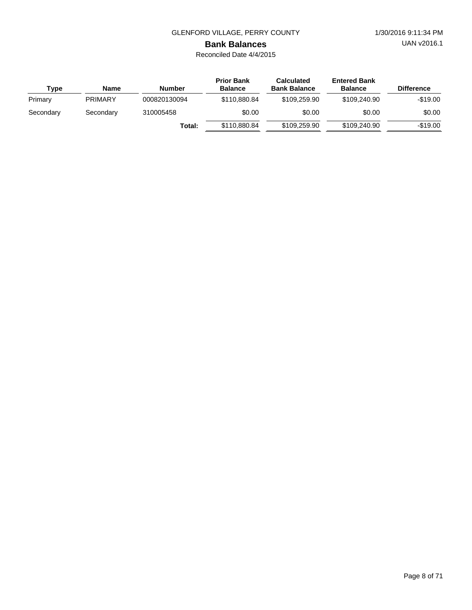UAN v2016.1

### **Bank Balances**

Reconciled Date 4/4/2015

| Type      | <b>Name</b>    | Number       | <b>Prior Bank</b><br><b>Balance</b> | <b>Calculated</b><br><b>Bank Balance</b> | <b>Entered Bank</b><br><b>Balance</b> | <b>Difference</b> |
|-----------|----------------|--------------|-------------------------------------|------------------------------------------|---------------------------------------|-------------------|
| Primary   | <b>PRIMARY</b> | 000820130094 | \$110,880,84                        | \$109,259.90                             | \$109,240,90                          | $-$19.00$         |
| Secondary | Secondary      | 310005458    | \$0.00                              | \$0.00                                   | \$0.00                                | \$0.00            |
|           |                | Total:       | \$110,880,84                        | \$109,259.90                             | \$109,240,90                          | $-$19.00$         |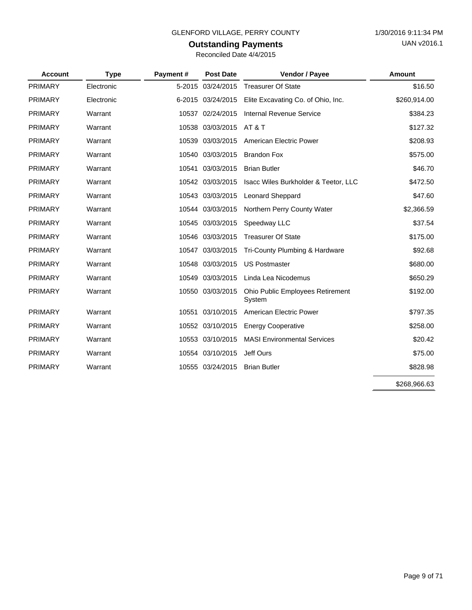# **Outstanding Payments**

| <b>Account</b> | <b>Type</b> | Payment# | <b>Post Date</b>  | Vendor / Payee                             | <b>Amount</b> |
|----------------|-------------|----------|-------------------|--------------------------------------------|---------------|
| PRIMARY        | Electronic  |          | 5-2015 03/24/2015 | <b>Treasurer Of State</b>                  | \$16.50       |
| <b>PRIMARY</b> | Electronic  |          | 6-2015 03/24/2015 | Elite Excavating Co. of Ohio, Inc.         | \$260,914.00  |
| <b>PRIMARY</b> | Warrant     | 10537    | 02/24/2015        | Internal Revenue Service                   | \$384.23      |
| <b>PRIMARY</b> | Warrant     |          | 10538 03/03/2015  | <b>AT &amp; T</b>                          | \$127.32      |
| PRIMARY        | Warrant     |          | 10539 03/03/2015  | American Electric Power                    | \$208.93      |
| <b>PRIMARY</b> | Warrant     | 10540    | 03/03/2015        | <b>Brandon Fox</b>                         | \$575.00      |
| <b>PRIMARY</b> | Warrant     | 10541    | 03/03/2015        | <b>Brian Butler</b>                        | \$46.70       |
| <b>PRIMARY</b> | Warrant     |          | 10542 03/03/2015  | Isacc Wiles Burkholder & Teetor, LLC       | \$472.50      |
| <b>PRIMARY</b> | Warrant     |          | 10543 03/03/2015  | <b>Leonard Sheppard</b>                    | \$47.60       |
| <b>PRIMARY</b> | Warrant     |          | 10544 03/03/2015  | Northern Perry County Water                | \$2,366.59    |
| <b>PRIMARY</b> | Warrant     |          | 10545 03/03/2015  | Speedway LLC                               | \$37.54       |
| PRIMARY        | Warrant     |          | 10546 03/03/2015  | <b>Treasurer Of State</b>                  | \$175.00      |
| <b>PRIMARY</b> | Warrant     |          | 10547 03/03/2015  | Tri-County Plumbing & Hardware             | \$92.68       |
| <b>PRIMARY</b> | Warrant     |          | 10548 03/03/2015  | <b>US Postmaster</b>                       | \$680.00      |
| PRIMARY        | Warrant     | 10549    | 03/03/2015        | Linda Lea Nicodemus                        | \$650.29      |
| <b>PRIMARY</b> | Warrant     |          | 10550 03/03/2015  | Ohio Public Employees Retirement<br>System | \$192.00      |
| PRIMARY        | Warrant     | 10551    | 03/10/2015        | American Electric Power                    | \$797.35      |
| <b>PRIMARY</b> | Warrant     |          | 10552 03/10/2015  | <b>Energy Cooperative</b>                  | \$258.00      |
| <b>PRIMARY</b> | Warrant     |          | 10553 03/10/2015  | <b>MASI Environmental Services</b>         | \$20.42       |
| PRIMARY        | Warrant     |          | 10554 03/10/2015  | Jeff Ours                                  | \$75.00       |
| <b>PRIMARY</b> | Warrant     |          | 10555 03/24/2015  | <b>Brian Butler</b>                        | \$828.98      |
|                |             |          |                   |                                            | \$268,966.63  |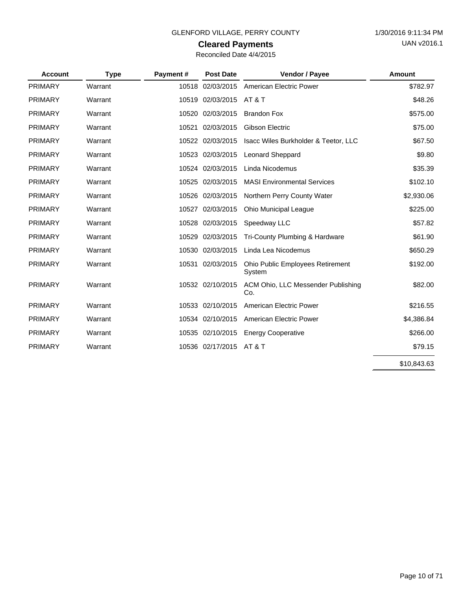# **Cleared Payments**

| Reconciled Date 4/4/2015 |  |  |  |
|--------------------------|--|--|--|
|--------------------------|--|--|--|

| <b>Account</b> | <b>Type</b> | Payment# | <b>Post Date</b> | Vendor / Payee                             | Amount      |
|----------------|-------------|----------|------------------|--------------------------------------------|-------------|
| PRIMARY        | Warrant     | 10518    | 02/03/2015       | <b>American Electric Power</b>             | \$782.97    |
| <b>PRIMARY</b> | Warrant     | 10519    | 02/03/2015       | AT&T                                       | \$48.26     |
| <b>PRIMARY</b> | Warrant     |          | 10520 02/03/2015 | <b>Brandon Fox</b>                         | \$575.00    |
| <b>PRIMARY</b> | Warrant     | 10521    | 02/03/2015       | Gibson Electric                            | \$75.00     |
| <b>PRIMARY</b> | Warrant     |          | 10522 02/03/2015 | Isacc Wiles Burkholder & Teetor, LLC       | \$67.50     |
| <b>PRIMARY</b> | Warrant     | 10523    | 02/03/2015       | <b>Leonard Sheppard</b>                    | \$9.80      |
| <b>PRIMARY</b> | Warrant     |          | 10524 02/03/2015 | Linda Nicodemus                            | \$35.39     |
| <b>PRIMARY</b> | Warrant     |          | 10525 02/03/2015 | <b>MASI Environmental Services</b>         | \$102.10    |
| <b>PRIMARY</b> | Warrant     |          | 10526 02/03/2015 | Northern Perry County Water                | \$2,930.06  |
| <b>PRIMARY</b> | Warrant     |          | 10527 02/03/2015 | <b>Ohio Municipal League</b>               | \$225.00    |
| <b>PRIMARY</b> | Warrant     | 10528    | 02/03/2015       | Speedway LLC                               | \$57.82     |
| <b>PRIMARY</b> | Warrant     | 10529    | 02/03/2015       | Tri-County Plumbing & Hardware             | \$61.90     |
| <b>PRIMARY</b> | Warrant     | 10530    | 02/03/2015       | Linda Lea Nicodemus                        | \$650.29    |
| <b>PRIMARY</b> | Warrant     |          | 10531 02/03/2015 | Ohio Public Employees Retirement<br>System | \$192.00    |
| <b>PRIMARY</b> | Warrant     |          | 10532 02/10/2015 | ACM Ohio, LLC Messender Publishing<br>Co.  | \$82.00     |
| <b>PRIMARY</b> | Warrant     | 10533    | 02/10/2015       | American Electric Power                    | \$216.55    |
| <b>PRIMARY</b> | Warrant     |          | 10534 02/10/2015 | American Electric Power                    | \$4,386.84  |
| <b>PRIMARY</b> | Warrant     |          | 10535 02/10/2015 | <b>Energy Cooperative</b>                  | \$266.00    |
| <b>PRIMARY</b> | Warrant     |          | 10536 02/17/2015 | AT & T                                     | \$79.15     |
|                |             |          |                  |                                            | \$10,843.63 |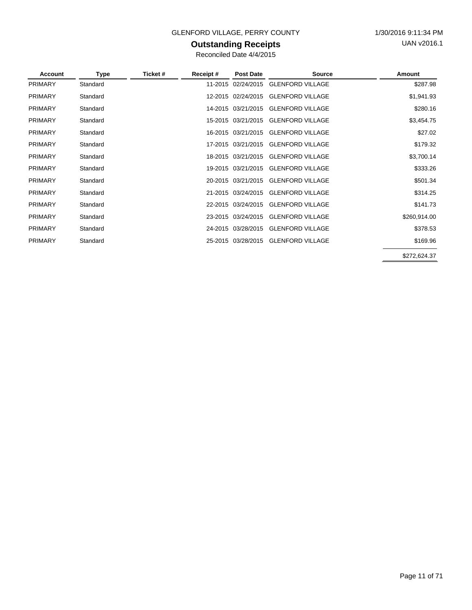### GLENFORD VILLAGE, PERRY COUNTY 1/30/2016 9:11:34 PM

### **Outstanding Receipts**

Reconciled Date 4/4/2015

| Account        | <b>Type</b> | Ticket # | Receipt# | <b>Post Date</b>   | <b>Source</b>                       | Amount       |
|----------------|-------------|----------|----------|--------------------|-------------------------------------|--------------|
| <b>PRIMARY</b> | Standard    |          |          | 11-2015 02/24/2015 | <b>GLENFORD VILLAGE</b>             | \$287.98     |
| <b>PRIMARY</b> | Standard    |          |          | 12-2015 02/24/2015 | <b>GLENFORD VILLAGE</b>             | \$1,941.93   |
| <b>PRIMARY</b> | Standard    |          |          | 14-2015 03/21/2015 | <b>GLENFORD VILLAGE</b>             | \$280.16     |
| <b>PRIMARY</b> | Standard    |          |          | 15-2015 03/21/2015 | <b>GLENFORD VILLAGE</b>             | \$3,454.75   |
| <b>PRIMARY</b> | Standard    |          |          |                    | 16-2015 03/21/2015 GLENFORD VILLAGE | \$27.02      |
| <b>PRIMARY</b> | Standard    |          |          | 17-2015 03/21/2015 | <b>GLENFORD VILLAGE</b>             | \$179.32     |
| <b>PRIMARY</b> | Standard    |          |          | 18-2015 03/21/2015 | <b>GLENFORD VILLAGE</b>             | \$3,700.14   |
| <b>PRIMARY</b> | Standard    |          |          |                    | 19-2015 03/21/2015 GLENFORD VILLAGE | \$333.26     |
| <b>PRIMARY</b> | Standard    |          |          | 20-2015 03/21/2015 | <b>GLENFORD VILLAGE</b>             | \$501.34     |
| <b>PRIMARY</b> | Standard    |          |          | 21-2015 03/24/2015 | <b>GLENFORD VILLAGE</b>             | \$314.25     |
| <b>PRIMARY</b> | Standard    |          |          | 22-2015 03/24/2015 | <b>GLENFORD VILLAGE</b>             | \$141.73     |
| <b>PRIMARY</b> | Standard    |          |          | 23-2015 03/24/2015 | <b>GLENFORD VILLAGE</b>             | \$260,914.00 |
| <b>PRIMARY</b> | Standard    |          |          | 24-2015 03/28/2015 | <b>GLENFORD VILLAGE</b>             | \$378.53     |
| <b>PRIMARY</b> | Standard    |          |          |                    | 25-2015 03/28/2015 GLENFORD VILLAGE | \$169.96     |
|                |             |          |          |                    |                                     | \$272,624.37 |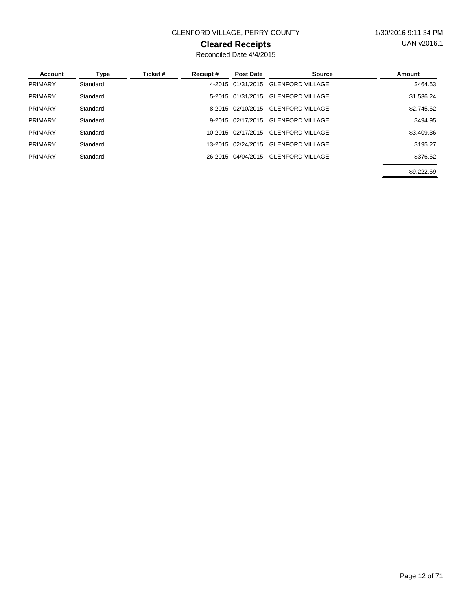### GLENFORD VILLAGE, PERRY COUNTY 1/30/2016 9:11:34 PM

### **Cleared Receipts**

Reconciled Date 4/4/2015

| <b>Account</b> | Type     | Ticket # | Receipt# | <b>Post Date</b>   | <b>Source</b>           | Amount     |
|----------------|----------|----------|----------|--------------------|-------------------------|------------|
| <b>PRIMARY</b> | Standard |          | 4-2015   | 01/31/2015         | <b>GLENFORD VILLAGE</b> | \$464.63   |
| <b>PRIMARY</b> | Standard |          |          | 5-2015 01/31/2015  | <b>GLENFORD VILLAGE</b> | \$1,536.24 |
| <b>PRIMARY</b> | Standard |          |          | 8-2015 02/10/2015  | <b>GLENFORD VILLAGE</b> | \$2,745.62 |
| <b>PRIMARY</b> | Standard |          |          | 9-2015 02/17/2015  | <b>GLENFORD VILLAGE</b> | \$494.95   |
| <b>PRIMARY</b> | Standard |          |          | 10-2015 02/17/2015 | <b>GLENFORD VILLAGE</b> | \$3,409.36 |
| <b>PRIMARY</b> | Standard |          |          | 13-2015 02/24/2015 | <b>GLENFORD VILLAGE</b> | \$195.27   |
| <b>PRIMARY</b> | Standard |          |          | 26-2015 04/04/2015 | <b>GLENFORD VILLAGE</b> | \$376.62   |
|                |          |          |          |                    |                         | \$9.222.69 |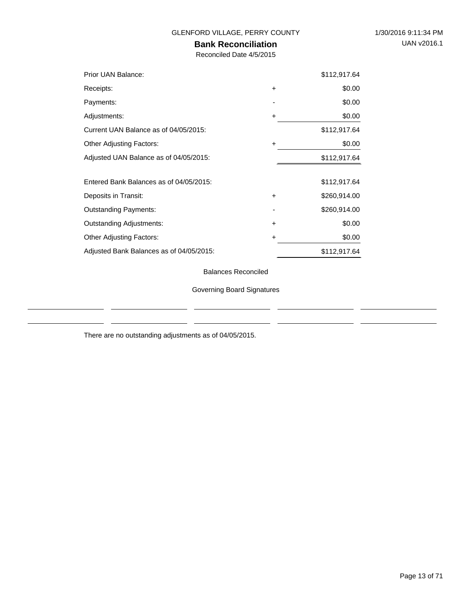J.

# **Bank Reconciliation**

Reconciled Date 4/5/2015

| Prior UAN Balance:                       |           | \$112,917.64 |
|------------------------------------------|-----------|--------------|
| Receipts:                                | $\ddot{}$ | \$0.00       |
| Payments:                                |           | \$0.00       |
| Adjustments:                             | +         | \$0.00       |
| Current UAN Balance as of 04/05/2015:    |           | \$112,917.64 |
| <b>Other Adjusting Factors:</b>          | ٠         | \$0.00       |
| Adjusted UAN Balance as of 04/05/2015:   |           | \$112,917.64 |
|                                          |           |              |
| Entered Bank Balances as of 04/05/2015:  |           | \$112,917.64 |
| Deposits in Transit:                     | $\ddot{}$ | \$260,914.00 |
| <b>Outstanding Payments:</b>             |           | \$260,914.00 |
| <b>Outstanding Adjustments:</b>          | $\ddot{}$ | \$0.00       |
| <b>Other Adjusting Factors:</b>          | +         | \$0.00       |
| Adjusted Bank Balances as of 04/05/2015: |           | \$112,917.64 |

Balances Reconciled

Governing Board Signatures

There are no outstanding adjustments as of 04/05/2015.

 $\frac{1}{2}$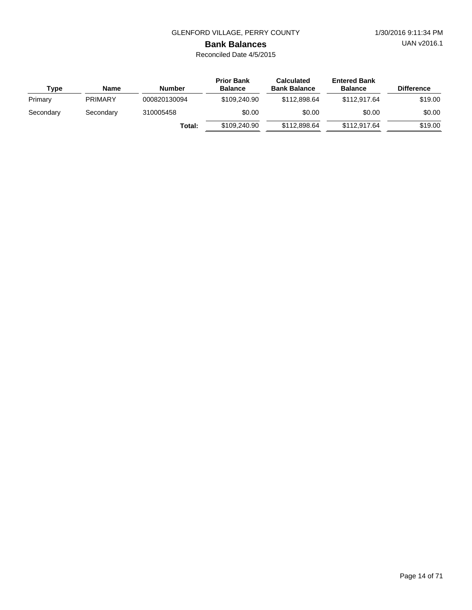UAN v2016.1

# **Bank Balances**

Reconciled Date 4/5/2015

| Type      | <b>Name</b>    | Number       | <b>Prior Bank</b><br><b>Balance</b> | <b>Calculated</b><br><b>Bank Balance</b> | <b>Entered Bank</b><br><b>Balance</b> | <b>Difference</b> |
|-----------|----------------|--------------|-------------------------------------|------------------------------------------|---------------------------------------|-------------------|
| Primary   | <b>PRIMARY</b> | 000820130094 | \$109,240.90                        | \$112,898,64                             | \$112,917.64                          | \$19.00           |
| Secondary | Secondary      | 310005458    | \$0.00                              | \$0.00                                   | \$0.00                                | \$0.00            |
|           |                | Total:       | \$109,240.90                        | \$112,898,64                             | \$112,917.64                          | \$19.00           |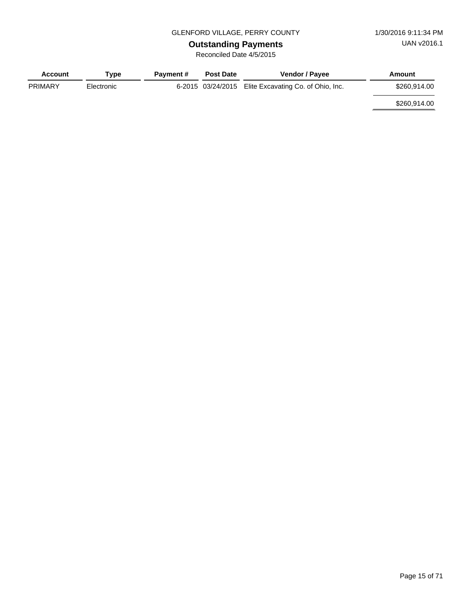# **Outstanding Payments**

Reconciled Date 4/5/2015

| <b>Account</b> | Tvpe       | <b>Payment #</b> | <b>Post Date</b> | <b>Vendor / Payee</b>                                | Amount       |
|----------------|------------|------------------|------------------|------------------------------------------------------|--------------|
| <b>PRIMARY</b> | Electronic |                  |                  | 6-2015 03/24/2015 Elite Excavating Co. of Ohio, Inc. | \$260,914,00 |
|                |            |                  |                  |                                                      | \$260,914.00 |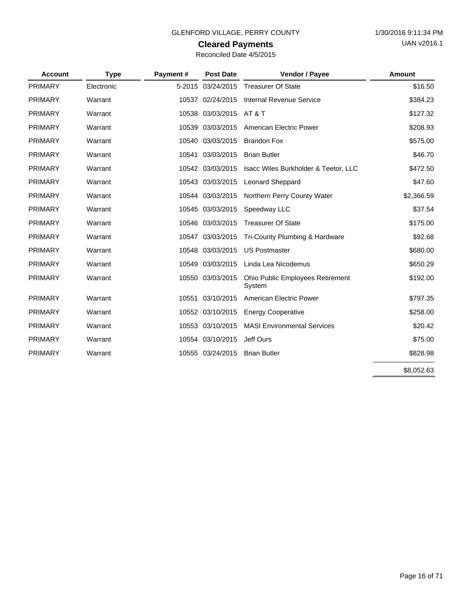### **Cleared Payments**

| Reconciled Date 4/5/2015 |  |  |  |
|--------------------------|--|--|--|
|--------------------------|--|--|--|

| <b>Account</b> | <b>Type</b> | Payment# | <b>Post Date</b>  | Vendor / Payee                                    | <b>Amount</b> |
|----------------|-------------|----------|-------------------|---------------------------------------------------|---------------|
| <b>PRIMARY</b> | Electronic  |          | 5-2015 03/24/2015 | <b>Treasurer Of State</b>                         | \$16.50       |
| <b>PRIMARY</b> | Warrant     |          | 10537 02/24/2015  | Internal Revenue Service                          | \$384.23      |
| <b>PRIMARY</b> | Warrant     |          | 10538 03/03/2015  | <b>AT &amp; T</b>                                 | \$127.32      |
| <b>PRIMARY</b> | Warrant     | 10539    | 03/03/2015        | American Electric Power                           | \$208.93      |
| <b>PRIMARY</b> | Warrant     |          | 10540 03/03/2015  | <b>Brandon Fox</b>                                | \$575.00      |
| <b>PRIMARY</b> | Warrant     | 10541    | 03/03/2015        | <b>Brian Butler</b>                               | \$46.70       |
| <b>PRIMARY</b> | Warrant     |          | 10542 03/03/2015  | Isacc Wiles Burkholder & Teetor, LLC              | \$472.50      |
| <b>PRIMARY</b> | Warrant     |          | 10543 03/03/2015  | <b>Leonard Sheppard</b>                           | \$47.60       |
| <b>PRIMARY</b> | Warrant     |          | 10544 03/03/2015  | Northern Perry County Water                       | \$2,366.59    |
| <b>PRIMARY</b> | Warrant     | 10545    | 03/03/2015        | Speedway LLC                                      | \$37.54       |
| <b>PRIMARY</b> | Warrant     |          | 10546 03/03/2015  | <b>Treasurer Of State</b>                         | \$175.00      |
| <b>PRIMARY</b> | Warrant     |          | 10547 03/03/2015  | Tri-County Plumbing & Hardware                    | \$92.68       |
| <b>PRIMARY</b> | Warrant     | 10548    | 03/03/2015        | <b>US Postmaster</b>                              | \$680.00      |
| <b>PRIMARY</b> | Warrant     | 10549    | 03/03/2015        | Linda Lea Nicodemus                               | \$650.29      |
| <b>PRIMARY</b> | Warrant     |          | 10550 03/03/2015  | <b>Ohio Public Employees Retirement</b><br>System | \$192.00      |
| <b>PRIMARY</b> | Warrant     | 10551    | 03/10/2015        | American Electric Power                           | \$797.35      |
| <b>PRIMARY</b> | Warrant     |          | 10552 03/10/2015  | <b>Energy Cooperative</b>                         | \$258.00      |
| <b>PRIMARY</b> | Warrant     |          | 10553 03/10/2015  | <b>MASI Environmental Services</b>                | \$20.42       |
| <b>PRIMARY</b> | Warrant     |          | 10554 03/10/2015  | Jeff Ours                                         | \$75.00       |
| <b>PRIMARY</b> | Warrant     |          | 10555 03/24/2015  | <b>Brian Butler</b>                               | \$828.98      |
|                |             |          |                   |                                                   | \$8,052.63    |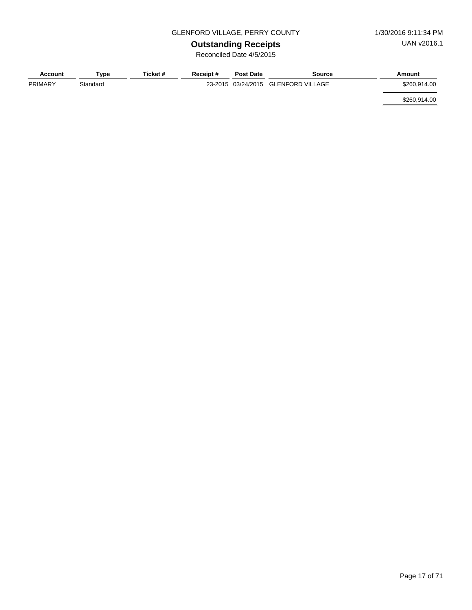### GLENFORD VILLAGE, PERRY COUNTY 1/30/2016 9:11:34 PM

# **Outstanding Receipts**

Reconciled Date 4/5/2015

| Account        | Type     | Ticket # | Receipt# | <b>Post Date</b> | Source                              | Amount       |
|----------------|----------|----------|----------|------------------|-------------------------------------|--------------|
| <b>PRIMARY</b> | Standard |          |          |                  | 23-2015 03/24/2015 GLENFORD VILLAGE | \$260.914.00 |
|                |          |          |          |                  |                                     | \$260,914.00 |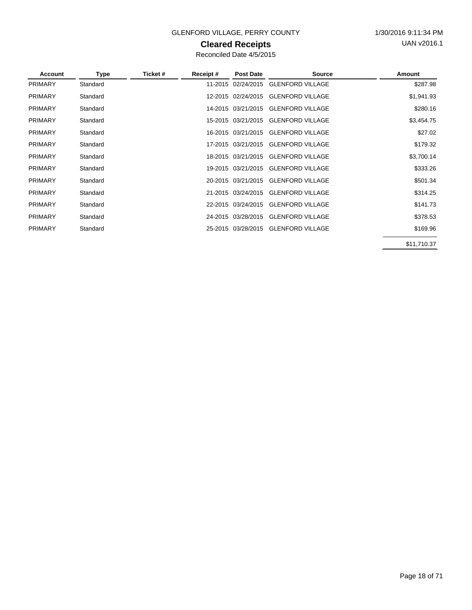$\overline{a}$ 

### GLENFORD VILLAGE, PERRY COUNTY 1/30/2016 9:11:34 PM

### **Cleared Receipts**

Reconciled Date 4/5/2015

| Account        | Type     | Ticket# | Receipt# | <b>Post Date</b>   | <b>Source</b>                       | Amount      |
|----------------|----------|---------|----------|--------------------|-------------------------------------|-------------|
| <b>PRIMARY</b> | Standard |         |          | 11-2015 02/24/2015 | <b>GLENFORD VILLAGE</b>             | \$287.98    |
| <b>PRIMARY</b> | Standard |         |          | 12-2015 02/24/2015 | <b>GLENFORD VILLAGE</b>             | \$1,941.93  |
| <b>PRIMARY</b> | Standard |         |          | 14-2015 03/21/2015 | <b>GLENFORD VILLAGE</b>             | \$280.16    |
| <b>PRIMARY</b> | Standard |         |          | 15-2015 03/21/2015 | <b>GLENFORD VILLAGE</b>             | \$3,454.75  |
| <b>PRIMARY</b> | Standard |         |          | 16-2015 03/21/2015 | <b>GLENFORD VILLAGE</b>             | \$27.02     |
| <b>PRIMARY</b> | Standard |         |          |                    | 17-2015 03/21/2015 GLENFORD VILLAGE | \$179.32    |
| <b>PRIMARY</b> | Standard |         |          | 18-2015 03/21/2015 | <b>GLENFORD VILLAGE</b>             | \$3,700.14  |
| <b>PRIMARY</b> | Standard |         |          |                    | 19-2015 03/21/2015 GLENFORD VILLAGE | \$333.26    |
| <b>PRIMARY</b> | Standard |         |          | 20-2015 03/21/2015 | <b>GLENFORD VILLAGE</b>             | \$501.34    |
| <b>PRIMARY</b> | Standard |         |          |                    | 21-2015 03/24/2015 GLENFORD VILLAGE | \$314.25    |
| <b>PRIMARY</b> | Standard |         |          | 22-2015 03/24/2015 | <b>GLENFORD VILLAGE</b>             | \$141.73    |
| <b>PRIMARY</b> | Standard |         |          |                    | 24-2015 03/28/2015 GLENFORD VILLAGE | \$378.53    |
| <b>PRIMARY</b> | Standard |         |          |                    | 25-2015 03/28/2015 GLENFORD VILLAGE | \$169.96    |
|                |          |         |          |                    |                                     | \$11,710.37 |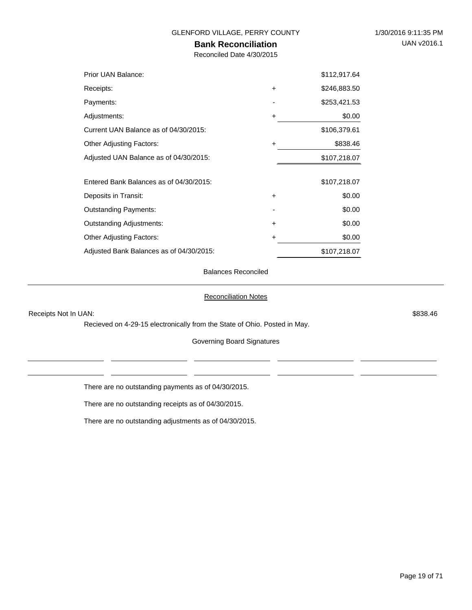### **Bank Reconciliation**

Reconciled Date 4/30/2015

| Prior UAN Balance:                       |           | \$112,917.64 |
|------------------------------------------|-----------|--------------|
| Receipts:                                | $\ddot{}$ | \$246,883.50 |
| Payments:                                |           | \$253,421.53 |
| Adjustments:                             | $\ddot{}$ | \$0.00       |
| Current UAN Balance as of 04/30/2015:    |           | \$106,379.61 |
| <b>Other Adjusting Factors:</b>          | $\ddot{}$ | \$838.46     |
| Adjusted UAN Balance as of 04/30/2015:   |           | \$107,218.07 |
| Entered Bank Balances as of 04/30/2015:  |           | \$107,218.07 |
| Deposits in Transit:                     | $\ddot{}$ | \$0.00       |
| <b>Outstanding Payments:</b>             |           | \$0.00       |
| <b>Outstanding Adjustments:</b>          | $\ddot{}$ | \$0.00       |
| <b>Other Adjusting Factors:</b>          | +         | \$0.00       |
| Adjusted Bank Balances as of 04/30/2015: |           | \$107,218.07 |

Balances Reconciled

#### Reconciliation Notes

Receipts Not In UAN: \$838.46

Recieved on 4-29-15 electronically from the State of Ohio. Posted in May.

Governing Board Signatures

There are no outstanding payments as of 04/30/2015.

There are no outstanding receipts as of 04/30/2015.

There are no outstanding adjustments as of 04/30/2015.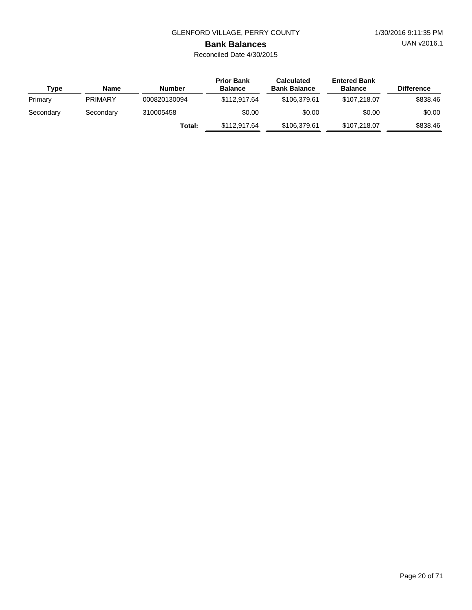UAN v2016.1

# **Bank Balances**

| Type      | <b>Name</b>    | <b>Number</b> | <b>Prior Bank</b><br><b>Balance</b> | <b>Calculated</b><br><b>Bank Balance</b> | <b>Entered Bank</b><br><b>Balance</b> | <b>Difference</b> |
|-----------|----------------|---------------|-------------------------------------|------------------------------------------|---------------------------------------|-------------------|
| Primary   | <b>PRIMARY</b> | 000820130094  | \$112,917,64                        | \$106.379.61                             | \$107,218,07                          | \$838.46          |
| Secondary | Secondary      | 310005458     | \$0.00                              | \$0.00                                   | \$0.00                                | \$0.00            |
|           |                | Total:        | \$112,917,64                        | \$106,379.61                             | \$107,218,07                          | \$838.46          |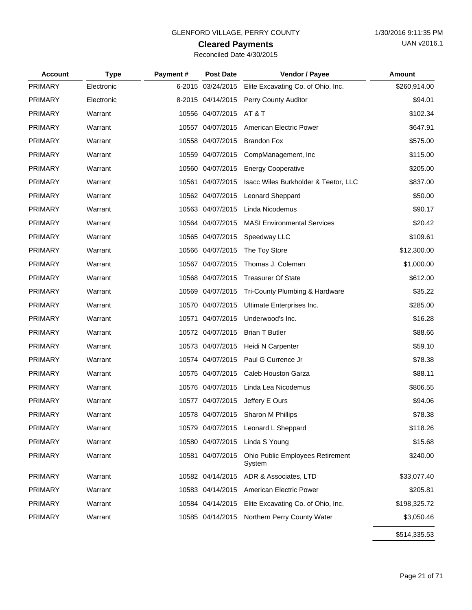# **Cleared Payments**

| Reconciled Date 4/30/2015 |  |
|---------------------------|--|
|---------------------------|--|

| <b>Account</b> | <b>Type</b> | Payment# | <b>Post Date</b>  | Vendor / Payee                                    | Amount       |
|----------------|-------------|----------|-------------------|---------------------------------------------------|--------------|
| <b>PRIMARY</b> | Electronic  |          | 6-2015 03/24/2015 | Elite Excavating Co. of Ohio, Inc.                | \$260,914.00 |
| <b>PRIMARY</b> | Electronic  |          | 8-2015 04/14/2015 | <b>Perry County Auditor</b>                       | \$94.01      |
| <b>PRIMARY</b> | Warrant     |          | 10556 04/07/2015  | <b>AT &amp; T</b>                                 | \$102.34     |
| <b>PRIMARY</b> | Warrant     |          | 10557 04/07/2015  | American Electric Power                           | \$647.91     |
| <b>PRIMARY</b> | Warrant     |          | 10558 04/07/2015  | <b>Brandon Fox</b>                                | \$575.00     |
| <b>PRIMARY</b> | Warrant     |          | 10559 04/07/2015  | CompManagement, Inc                               | \$115.00     |
| <b>PRIMARY</b> | Warrant     |          | 10560 04/07/2015  | <b>Energy Cooperative</b>                         | \$205.00     |
| <b>PRIMARY</b> | Warrant     |          | 10561 04/07/2015  | Isacc Wiles Burkholder & Teetor, LLC              | \$837.00     |
| <b>PRIMARY</b> | Warrant     |          | 10562 04/07/2015  | Leonard Sheppard                                  | \$50.00      |
| <b>PRIMARY</b> | Warrant     |          | 10563 04/07/2015  | Linda Nicodemus                                   | \$90.17      |
| <b>PRIMARY</b> | Warrant     |          | 10564 04/07/2015  | <b>MASI Environmental Services</b>                | \$20.42      |
| <b>PRIMARY</b> | Warrant     |          | 10565 04/07/2015  | Speedway LLC                                      | \$109.61     |
| <b>PRIMARY</b> | Warrant     |          | 10566 04/07/2015  | The Toy Store                                     | \$12,300.00  |
| <b>PRIMARY</b> | Warrant     |          | 10567 04/07/2015  | Thomas J. Coleman                                 | \$1,000.00   |
| <b>PRIMARY</b> | Warrant     |          | 10568 04/07/2015  | <b>Treasurer Of State</b>                         | \$612.00     |
| <b>PRIMARY</b> | Warrant     |          | 10569 04/07/2015  | Tri-County Plumbing & Hardware                    | \$35.22      |
| <b>PRIMARY</b> | Warrant     |          | 10570 04/07/2015  | Ultimate Enterprises Inc.                         | \$285.00     |
| <b>PRIMARY</b> | Warrant     |          | 10571 04/07/2015  | Underwood's Inc.                                  | \$16.28      |
| <b>PRIMARY</b> | Warrant     |          | 10572 04/07/2015  | <b>Brian T Butler</b>                             | \$88.66      |
| <b>PRIMARY</b> | Warrant     |          | 10573 04/07/2015  | Heidi N Carpenter                                 | \$59.10      |
| <b>PRIMARY</b> | Warrant     |          | 10574 04/07/2015  | Paul G Currence Jr                                | \$78.38      |
| <b>PRIMARY</b> | Warrant     |          | 10575 04/07/2015  | Caleb Houston Garza                               | \$88.11      |
| <b>PRIMARY</b> | Warrant     |          | 10576 04/07/2015  | Linda Lea Nicodemus                               | \$806.55     |
| <b>PRIMARY</b> | Warrant     |          | 10577 04/07/2015  | Jeffery E Ours                                    | \$94.06      |
| PRIMARY        | Warrant     |          |                   | 10578 04/07/2015 Sharon M Phillips                | \$78.38      |
| <b>PRIMARY</b> | Warrant     |          | 10579 04/07/2015  | Leonard L Sheppard                                | \$118.26     |
| <b>PRIMARY</b> | Warrant     |          | 10580 04/07/2015  | Linda S Young                                     | \$15.68      |
| <b>PRIMARY</b> | Warrant     |          | 10581 04/07/2015  | <b>Ohio Public Employees Retirement</b><br>System | \$240.00     |
| <b>PRIMARY</b> | Warrant     |          | 10582 04/14/2015  | ADR & Associates, LTD                             | \$33,077.40  |
| <b>PRIMARY</b> | Warrant     |          | 10583 04/14/2015  | American Electric Power                           | \$205.81     |
| <b>PRIMARY</b> | Warrant     |          | 10584 04/14/2015  | Elite Excavating Co. of Ohio, Inc.                | \$198,325.72 |
| <b>PRIMARY</b> | Warrant     |          | 10585 04/14/2015  | Northern Perry County Water                       | \$3,050.46   |
|                |             |          |                   |                                                   | \$514,335.53 |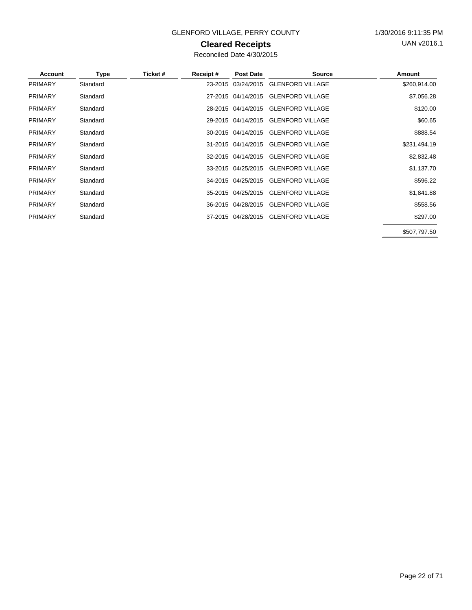### GLENFORD VILLAGE, PERRY COUNTY 1/30/2016 9:11:35 PM

### **Cleared Receipts**

Reconciled Date 4/30/2015

| Account        | Type     | Ticket # | Receipt# | <b>Post Date</b>   | <b>Source</b>                       | Amount       |
|----------------|----------|----------|----------|--------------------|-------------------------------------|--------------|
| <b>PRIMARY</b> | Standard |          |          | 23-2015 03/24/2015 | <b>GLENFORD VILLAGE</b>             | \$260,914.00 |
| <b>PRIMARY</b> | Standard |          |          |                    | 27-2015 04/14/2015 GLENFORD VILLAGE | \$7,056.28   |
| <b>PRIMARY</b> | Standard |          |          | 28-2015 04/14/2015 | <b>GLENFORD VILLAGE</b>             | \$120.00     |
| <b>PRIMARY</b> | Standard |          |          | 29-2015 04/14/2015 | <b>GLENFORD VILLAGE</b>             | \$60.65      |
| <b>PRIMARY</b> | Standard |          |          |                    | 30-2015 04/14/2015 GLENFORD VILLAGE | \$888.54     |
| <b>PRIMARY</b> | Standard |          |          |                    | 31-2015 04/14/2015 GLENFORD VILLAGE | \$231,494.19 |
| <b>PRIMARY</b> | Standard |          |          | 32-2015 04/14/2015 | <b>GLENFORD VILLAGE</b>             | \$2,832.48   |
| <b>PRIMARY</b> | Standard |          |          | 33-2015 04/25/2015 | <b>GLENFORD VILLAGE</b>             | \$1,137.70   |
| <b>PRIMARY</b> | Standard |          |          | 34-2015 04/25/2015 | <b>GLENFORD VILLAGE</b>             | \$596.22     |
| <b>PRIMARY</b> | Standard |          |          | 35-2015 04/25/2015 | <b>GLENFORD VILLAGE</b>             | \$1,841.88   |
| <b>PRIMARY</b> | Standard |          |          | 36-2015 04/28/2015 | <b>GLENFORD VILLAGE</b>             | \$558.56     |
| <b>PRIMARY</b> | Standard |          |          | 37-2015 04/28/2015 | <b>GLENFORD VILLAGE</b>             | \$297.00     |
|                |          |          |          |                    |                                     |              |

\$507,797.50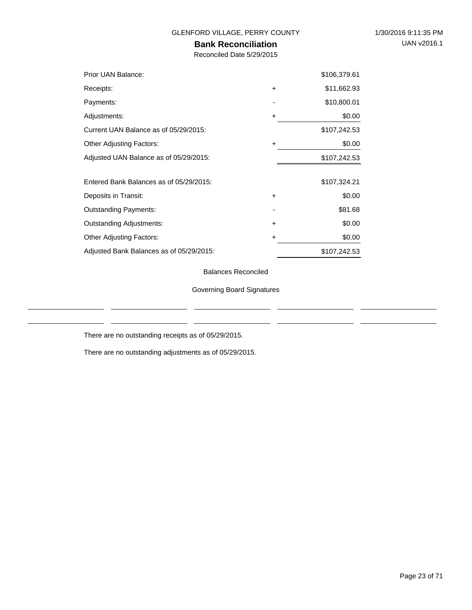### **Bank Reconciliation**

Reconciled Date 5/29/2015

| Prior UAN Balance:                       |           | \$106,379.61 |
|------------------------------------------|-----------|--------------|
| Receipts:                                | $\ddot{}$ | \$11,662.93  |
| Payments:                                |           | \$10,800.01  |
| Adjustments:                             | ٠         | \$0.00       |
| Current UAN Balance as of 05/29/2015:    |           | \$107,242.53 |
| <b>Other Adjusting Factors:</b>          | ٠         | \$0.00       |
| Adjusted UAN Balance as of 05/29/2015:   |           | \$107,242.53 |
|                                          |           |              |
| Entered Bank Balances as of 05/29/2015:  |           | \$107,324.21 |
| Deposits in Transit:                     | $\ddot{}$ | \$0.00       |
| <b>Outstanding Payments:</b>             |           | \$81.68      |
| <b>Outstanding Adjustments:</b>          | $\ddot{}$ | \$0.00       |
| <b>Other Adjusting Factors:</b>          | ٠         | \$0.00       |
| Adjusted Bank Balances as of 05/29/2015: |           | \$107,242.53 |

Balances Reconciled

Governing Board Signatures

There are no outstanding receipts as of 05/29/2015.

There are no outstanding adjustments as of 05/29/2015.

 $\overline{a}$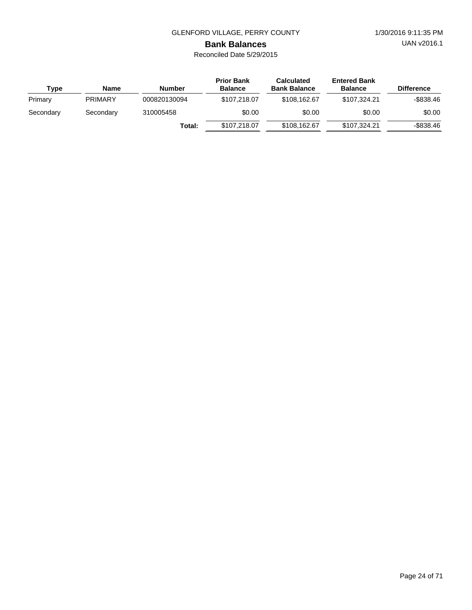UAN v2016.1

# **Bank Balances**

| Type      | <b>Name</b>    | <b>Number</b> | <b>Prior Bank</b><br><b>Balance</b> | <b>Calculated</b><br><b>Bank Balance</b> | <b>Entered Bank</b><br><b>Balance</b> | <b>Difference</b> |
|-----------|----------------|---------------|-------------------------------------|------------------------------------------|---------------------------------------|-------------------|
| Primary   | <b>PRIMARY</b> | 000820130094  | \$107.218.07                        | \$108,162,67                             | \$107.324.21                          | -\$838.46         |
| Secondary | Secondary      | 310005458     | \$0.00                              | \$0.00                                   | \$0.00                                | \$0.00            |
|           |                | Total:        | \$107,218.07                        | \$108,162.67                             | \$107.324.21                          | $-$ \$838.46      |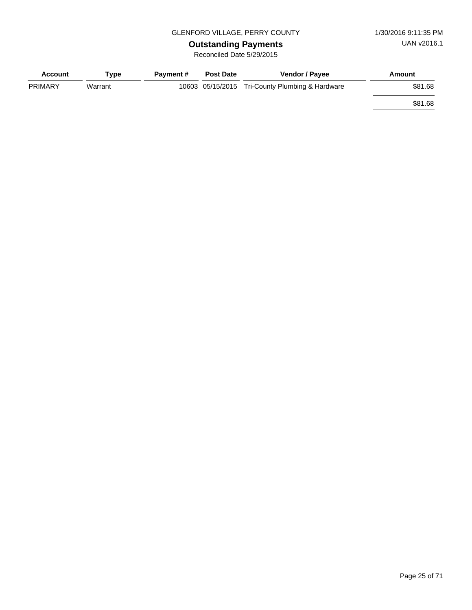# **Outstanding Payments**

| <b>Account</b> | Type    | <b>Payment #</b> | <b>Post Date</b> | <b>Vendor / Payee</b>                           | Amount  |
|----------------|---------|------------------|------------------|-------------------------------------------------|---------|
| <b>PRIMARY</b> | Warrant |                  |                  | 10603 05/15/2015 Tri-County Plumbing & Hardware | \$81.68 |
|                |         |                  |                  |                                                 | \$81.68 |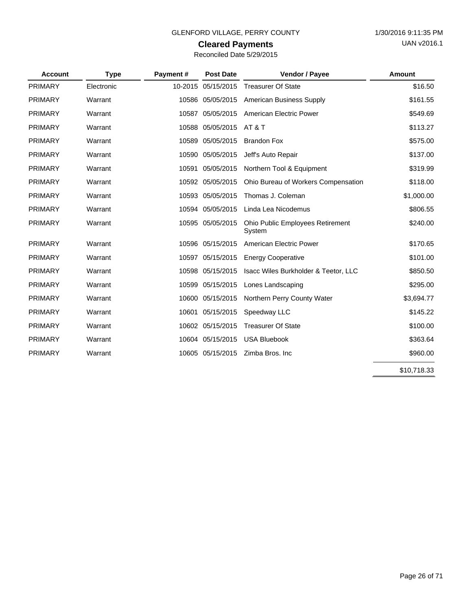### **Cleared Payments**

| Reconciled Date 5/29/2015 |  |  |
|---------------------------|--|--|
|---------------------------|--|--|

| <b>Account</b> | <b>Type</b> | Payment# | <b>Post Date</b>   | Vendor / Payee                                    | <b>Amount</b> |
|----------------|-------------|----------|--------------------|---------------------------------------------------|---------------|
| <b>PRIMARY</b> | Electronic  |          | 10-2015 05/15/2015 | <b>Treasurer Of State</b>                         | \$16.50       |
| PRIMARY        | Warrant     |          | 10586 05/05/2015   | <b>American Business Supply</b>                   | \$161.55      |
| <b>PRIMARY</b> | Warrant     |          | 10587 05/05/2015   | American Electric Power                           | \$549.69      |
| PRIMARY        | Warrant     |          | 10588 05/05/2015   | <b>AT &amp; T</b>                                 | \$113.27      |
| PRIMARY        | Warrant     | 10589    | 05/05/2015         | <b>Brandon Fox</b>                                | \$575.00      |
| PRIMARY        | Warrant     |          | 10590 05/05/2015   | Jeff's Auto Repair                                | \$137.00      |
| <b>PRIMARY</b> | Warrant     |          | 10591 05/05/2015   | Northern Tool & Equipment                         | \$319.99      |
| PRIMARY        | Warrant     |          | 10592 05/05/2015   | Ohio Bureau of Workers Compensation               | \$118.00      |
| <b>PRIMARY</b> | Warrant     |          | 10593 05/05/2015   | Thomas J. Coleman                                 | \$1,000.00    |
| PRIMARY        | Warrant     |          | 10594 05/05/2015   | Linda Lea Nicodemus                               | \$806.55      |
| <b>PRIMARY</b> | Warrant     |          | 10595 05/05/2015   | <b>Ohio Public Employees Retirement</b><br>System | \$240.00      |
| PRIMARY        | Warrant     |          | 10596 05/15/2015   | American Electric Power                           | \$170.65      |
| PRIMARY        | Warrant     |          | 10597 05/15/2015   | <b>Energy Cooperative</b>                         | \$101.00      |
| PRIMARY        | Warrant     |          | 10598 05/15/2015   | Isacc Wiles Burkholder & Teetor, LLC              | \$850.50      |
| PRIMARY        | Warrant     | 10599    | 05/15/2015         | Lones Landscaping                                 | \$295.00      |
| PRIMARY        | Warrant     |          | 10600 05/15/2015   | Northern Perry County Water                       | \$3,694.77    |
| PRIMARY        | Warrant     | 10601    | 05/15/2015         | Speedway LLC                                      | \$145.22      |
| <b>PRIMARY</b> | Warrant     |          | 10602 05/15/2015   | <b>Treasurer Of State</b>                         | \$100.00      |
| PRIMARY        | Warrant     |          | 10604 05/15/2015   | <b>USA Bluebook</b>                               | \$363.64      |
| <b>PRIMARY</b> | Warrant     |          | 10605 05/15/2015   | Zimba Bros. Inc                                   | \$960.00      |

\$10,718.33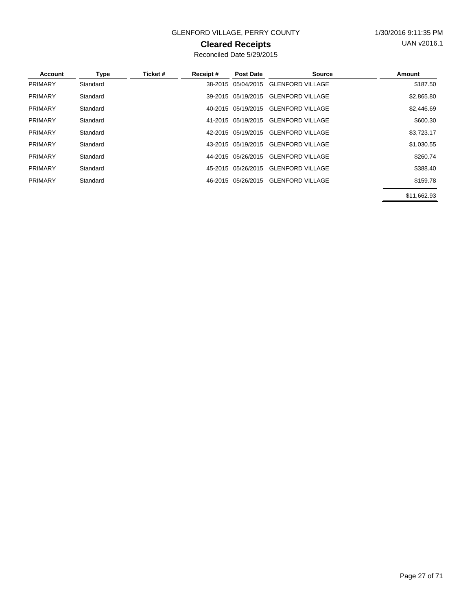### GLENFORD VILLAGE, PERRY COUNTY 1/30/2016 9:11:35 PM

### **Cleared Receipts**

| Account        | Type     | Ticket # | Receipt# | Post Date          | Source                  | Amount      |
|----------------|----------|----------|----------|--------------------|-------------------------|-------------|
| <b>PRIMARY</b> | Standard |          | 38-2015  | 05/04/2015         | <b>GLENFORD VILLAGE</b> | \$187.50    |
| <b>PRIMARY</b> | Standard |          |          | 39-2015 05/19/2015 | <b>GLENFORD VILLAGE</b> | \$2,865.80  |
| <b>PRIMARY</b> | Standard |          |          | 40-2015 05/19/2015 | <b>GLENFORD VILLAGE</b> | \$2,446.69  |
| <b>PRIMARY</b> | Standard |          |          | 41-2015 05/19/2015 | <b>GLENFORD VILLAGE</b> | \$600.30    |
| <b>PRIMARY</b> | Standard |          |          | 42-2015 05/19/2015 | <b>GLENFORD VILLAGE</b> | \$3,723.17  |
| <b>PRIMARY</b> | Standard |          |          | 43-2015 05/19/2015 | <b>GLENFORD VILLAGE</b> | \$1,030.55  |
| <b>PRIMARY</b> | Standard |          |          | 44-2015 05/26/2015 | <b>GLENFORD VILLAGE</b> | \$260.74    |
| <b>PRIMARY</b> | Standard |          |          | 45-2015 05/26/2015 | <b>GLENFORD VILLAGE</b> | \$388.40    |
| <b>PRIMARY</b> | Standard |          |          | 46-2015 05/26/2015 | <b>GLENFORD VILLAGE</b> | \$159.78    |
|                |          |          |          |                    |                         | \$11,662.93 |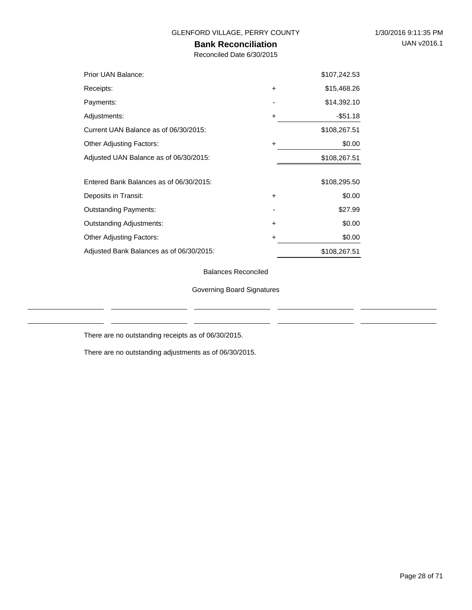### **Bank Reconciliation**

Reconciled Date 6/30/2015

| Prior UAN Balance:                       |           | \$107,242.53 |
|------------------------------------------|-----------|--------------|
| Receipts:                                | $\ddot{}$ | \$15,468.26  |
| Payments:                                |           | \$14,392.10  |
| Adjustments:                             | $\ddot{}$ | -\$51.18     |
| Current UAN Balance as of 06/30/2015:    |           | \$108,267.51 |
| <b>Other Adjusting Factors:</b>          | ÷         | \$0.00       |
| Adjusted UAN Balance as of 06/30/2015:   |           | \$108,267.51 |
|                                          |           |              |
| Entered Bank Balances as of 06/30/2015:  |           | \$108,295.50 |
| Deposits in Transit:                     | $\ddot{}$ | \$0.00       |
| <b>Outstanding Payments:</b>             |           | \$27.99      |
| <b>Outstanding Adjustments:</b>          | $\ddot{}$ | \$0.00       |
| <b>Other Adjusting Factors:</b>          | ٠         | \$0.00       |
| Adjusted Bank Balances as of 06/30/2015: |           | \$108,267.51 |

Balances Reconciled

Governing Board Signatures

There are no outstanding receipts as of 06/30/2015.

There are no outstanding adjustments as of 06/30/2015.

 $\overline{a}$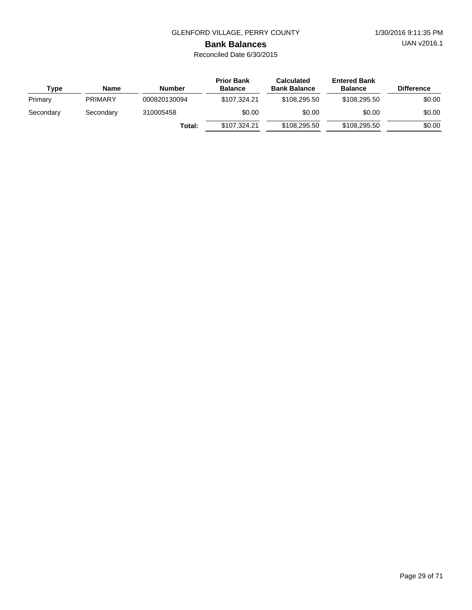UAN v2016.1

# **Bank Balances**

| Type      | <b>Name</b>    | <b>Number</b> | <b>Prior Bank</b><br><b>Balance</b> | <b>Calculated</b><br><b>Bank Balance</b> | <b>Entered Bank</b><br><b>Balance</b> | <b>Difference</b> |
|-----------|----------------|---------------|-------------------------------------|------------------------------------------|---------------------------------------|-------------------|
| Primary   | <b>PRIMARY</b> | 000820130094  | \$107.324.21                        | \$108,295.50                             | \$108,295,50                          | \$0.00            |
| Secondary | Secondary      | 310005458     | \$0.00                              | \$0.00                                   | \$0.00                                | \$0.00            |
|           |                | Total:        | \$107,324.21                        | \$108,295.50                             | \$108,295,50                          | \$0.00            |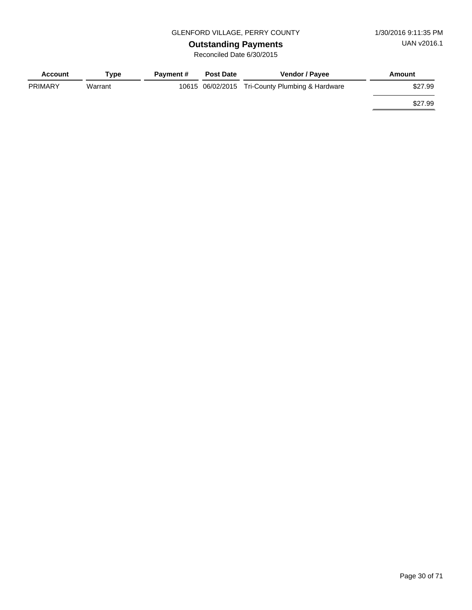# **Outstanding Payments**

| <b>Account</b> | Type    | <b>Payment #</b> | <b>Post Date</b> | <b>Vendor / Payee</b>                           | Amount  |
|----------------|---------|------------------|------------------|-------------------------------------------------|---------|
| <b>PRIMARY</b> | Warrant |                  |                  | 10615 06/02/2015 Tri-County Plumbing & Hardware | \$27.99 |
|                |         |                  |                  |                                                 | \$27.99 |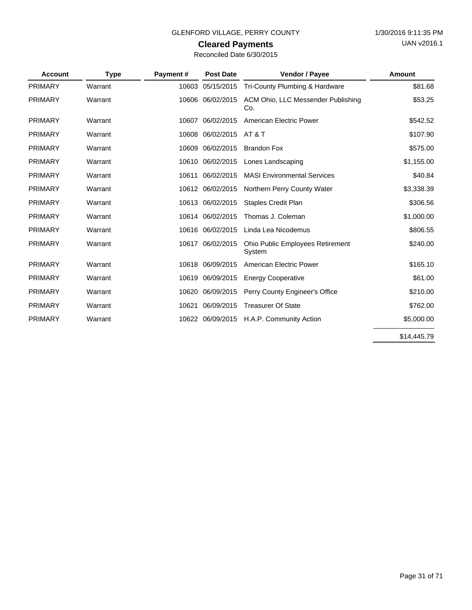### GLENFORD VILLAGE, PERRY COUNTY 1/30/2016 9:11:35 PM

# **Cleared Payments**

| <b>Account</b> | <b>Type</b> | Payment# | <b>Post Date</b> | Vendor / Payee                             | Amount      |
|----------------|-------------|----------|------------------|--------------------------------------------|-------------|
| <b>PRIMARY</b> | Warrant     | 10603    | 05/15/2015       | Tri-County Plumbing & Hardware             | \$81.68     |
| <b>PRIMARY</b> | Warrant     | 10606    | 06/02/2015       | ACM Ohio, LLC Messender Publishing<br>Co.  | \$53.25     |
| <b>PRIMARY</b> | Warrant     | 10607    | 06/02/2015       | American Electric Power                    | \$542.52    |
| PRIMARY        | Warrant     | 10608    | 06/02/2015       | <b>AT &amp; T</b>                          | \$107.90    |
| <b>PRIMARY</b> | Warrant     | 10609    | 06/02/2015       | <b>Brandon Fox</b>                         | \$575.00    |
| PRIMARY        | Warrant     | 10610    | 06/02/2015       | Lones Landscaping                          | \$1,155.00  |
| <b>PRIMARY</b> | Warrant     | 10611    | 06/02/2015       | <b>MASI Environmental Services</b>         | \$40.84     |
| <b>PRIMARY</b> | Warrant     |          | 10612 06/02/2015 | Northern Perry County Water                | \$3,338.39  |
| <b>PRIMARY</b> | Warrant     | 10613    | 06/02/2015       | <b>Staples Credit Plan</b>                 | \$306.56    |
| <b>PRIMARY</b> | Warrant     | 10614    | 06/02/2015       | Thomas J. Coleman                          | \$1,000.00  |
| <b>PRIMARY</b> | Warrant     | 10616    | 06/02/2015       | Linda Lea Nicodemus                        | \$806.55    |
| <b>PRIMARY</b> | Warrant     |          | 10617 06/02/2015 | Ohio Public Employees Retirement<br>System | \$240.00    |
| <b>PRIMARY</b> | Warrant     | 10618    | 06/09/2015       | American Electric Power                    | \$165.10    |
| <b>PRIMARY</b> | Warrant     | 10619    | 06/09/2015       | <b>Energy Cooperative</b>                  | \$61.00     |
| PRIMARY        | Warrant     | 10620    | 06/09/2015       | Perry County Engineer's Office             | \$210.00    |
| <b>PRIMARY</b> | Warrant     | 10621    | 06/09/2015       | <b>Treasurer Of State</b>                  | \$762.00    |
| <b>PRIMARY</b> | Warrant     |          | 10622 06/09/2015 | H.A.P. Community Action                    | \$5,000.00  |
|                |             |          |                  |                                            | \$14,445.79 |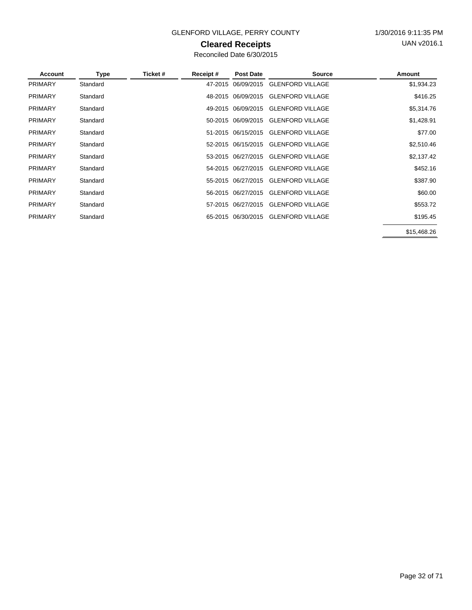### GLENFORD VILLAGE, PERRY COUNTY 1/30/2016 9:11:35 PM

### **Cleared Receipts**

| Account        | Type     | Ticket # | Receipt# | <b>Post Date</b>   | <b>Source</b>                       | Amount      |
|----------------|----------|----------|----------|--------------------|-------------------------------------|-------------|
| <b>PRIMARY</b> | Standard |          |          | 47-2015 06/09/2015 | <b>GLENFORD VILLAGE</b>             | \$1,934.23  |
| <b>PRIMARY</b> | Standard |          |          | 48-2015 06/09/2015 | <b>GLENFORD VILLAGE</b>             | \$416.25    |
| <b>PRIMARY</b> | Standard |          |          | 49-2015 06/09/2015 | <b>GLENFORD VILLAGE</b>             | \$5,314.76  |
| <b>PRIMARY</b> | Standard |          |          | 50-2015 06/09/2015 | <b>GLENFORD VILLAGE</b>             | \$1,428.91  |
| <b>PRIMARY</b> | Standard |          |          | 51-2015 06/15/2015 | <b>GLENFORD VILLAGE</b>             | \$77.00     |
| <b>PRIMARY</b> | Standard |          |          | 52-2015 06/15/2015 | <b>GLENFORD VILLAGE</b>             | \$2,510.46  |
| <b>PRIMARY</b> | Standard |          |          | 53-2015 06/27/2015 | <b>GLENFORD VILLAGE</b>             | \$2,137.42  |
| <b>PRIMARY</b> | Standard |          |          | 54-2015 06/27/2015 | <b>GLENFORD VILLAGE</b>             | \$452.16    |
| <b>PRIMARY</b> | Standard |          |          | 55-2015 06/27/2015 | <b>GLENFORD VILLAGE</b>             | \$387.90    |
| <b>PRIMARY</b> | Standard |          |          | 56-2015 06/27/2015 | <b>GLENFORD VILLAGE</b>             | \$60.00     |
| <b>PRIMARY</b> | Standard |          |          | 57-2015 06/27/2015 | <b>GLENFORD VILLAGE</b>             | \$553.72    |
| <b>PRIMARY</b> | Standard |          |          |                    | 65-2015 06/30/2015 GLENFORD VILLAGE | \$195.45    |
|                |          |          |          |                    |                                     | \$15,468.26 |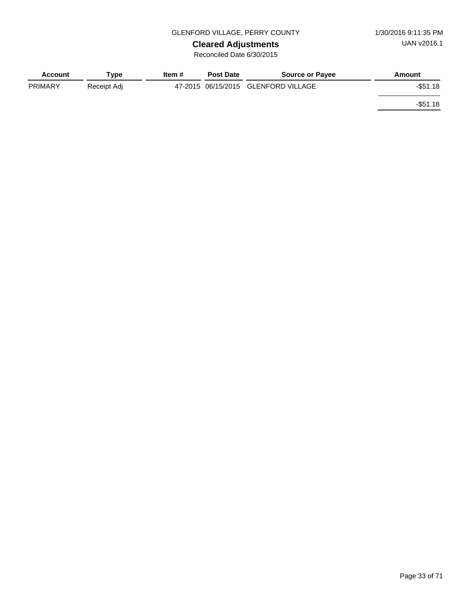**Cleared Adjustments** Reconciled Date 6/30/2015

| <b>Account</b> | Tvpe        | ltem # | <b>Post Date</b> | <b>Source or Payee</b>              | Amount      |
|----------------|-------------|--------|------------------|-------------------------------------|-------------|
| <b>PRIMARY</b> | Receipt Adj |        |                  | 47-2015 06/15/2015 GLENFORD VILLAGE | $-$ \$51.18 |
|                |             |        |                  |                                     | $-$ \$51.18 |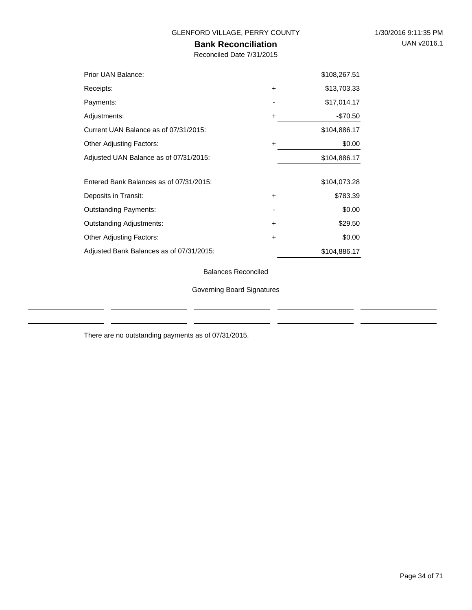÷.

### GLENFORD VILLAGE, PERRY COUNTY 1/30/2016 9:11:35 PM

### **Bank Reconciliation**

Reconciled Date 7/31/2015

| Prior UAN Balance:                       |           | \$108,267.51 |
|------------------------------------------|-----------|--------------|
| Receipts:                                | $\ddot{}$ | \$13,703.33  |
| Payments:                                |           | \$17,014.17  |
| Adjustments:                             | ٠         | $-$70.50$    |
| Current UAN Balance as of 07/31/2015:    |           | \$104,886.17 |
| <b>Other Adjusting Factors:</b>          | ÷         | \$0.00       |
| Adjusted UAN Balance as of 07/31/2015:   |           | \$104,886.17 |
|                                          |           |              |
| Entered Bank Balances as of 07/31/2015:  |           | \$104,073.28 |
| Deposits in Transit:                     | $\ddot{}$ | \$783.39     |
| <b>Outstanding Payments:</b>             |           | \$0.00       |
| <b>Outstanding Adjustments:</b>          | $\ddot{}$ | \$29.50      |
| <b>Other Adjusting Factors:</b>          | +         | \$0.00       |
| Adjusted Bank Balances as of 07/31/2015: |           | \$104,886.17 |

Balances Reconciled

Governing Board Signatures

There are no outstanding payments as of 07/31/2015.

 $\overline{a}$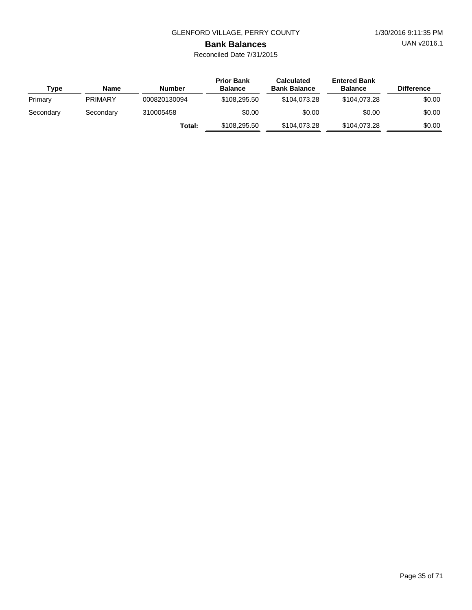UAN v2016.1

# **Bank Balances**

| Type      | Name           | <b>Number</b> | <b>Prior Bank</b><br><b>Balance</b> | <b>Calculated</b><br><b>Bank Balance</b> | <b>Entered Bank</b><br><b>Balance</b> | <b>Difference</b> |
|-----------|----------------|---------------|-------------------------------------|------------------------------------------|---------------------------------------|-------------------|
| Primary   | <b>PRIMARY</b> | 000820130094  | \$108,295.50                        | \$104.073.28                             | \$104,073,28                          | \$0.00            |
| Secondary | Secondary      | 310005458     | \$0.00                              | \$0.00                                   | \$0.00                                | \$0.00            |
|           |                | Total:        | \$108,295.50                        | \$104,073.28                             | \$104,073.28                          | \$0.00            |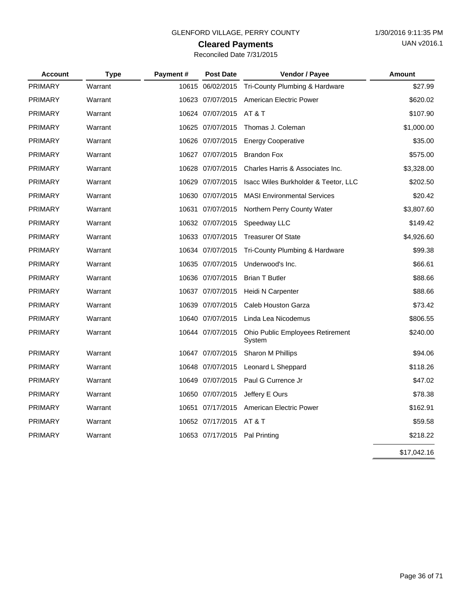# **Cleared Payments**

| Reconciled Date 7/31/2015 |  |  |  |  |
|---------------------------|--|--|--|--|
|---------------------------|--|--|--|--|

| <b>Account</b> | <b>Type</b> | Payment# | <b>Post Date</b>              | Vendor / Payee                             | <b>Amount</b> |
|----------------|-------------|----------|-------------------------------|--------------------------------------------|---------------|
| <b>PRIMARY</b> | Warrant     |          | 10615 06/02/2015              | Tri-County Plumbing & Hardware             | \$27.99       |
| <b>PRIMARY</b> | Warrant     |          | 10623 07/07/2015              | American Electric Power                    | \$620.02      |
| <b>PRIMARY</b> | Warrant     |          | 10624 07/07/2015              | AT & T                                     | \$107.90      |
| <b>PRIMARY</b> | Warrant     |          | 10625 07/07/2015              | Thomas J. Coleman                          | \$1,000.00    |
| <b>PRIMARY</b> | Warrant     |          | 10626 07/07/2015              | <b>Energy Cooperative</b>                  | \$35.00       |
| <b>PRIMARY</b> | Warrant     |          | 10627 07/07/2015              | <b>Brandon Fox</b>                         | \$575.00      |
| <b>PRIMARY</b> | Warrant     |          | 10628 07/07/2015              | Charles Harris & Associates Inc.           | \$3,328.00    |
| <b>PRIMARY</b> | Warrant     |          | 10629 07/07/2015              | Isacc Wiles Burkholder & Teetor, LLC       | \$202.50      |
| <b>PRIMARY</b> | Warrant     |          | 10630 07/07/2015              | <b>MASI Environmental Services</b>         | \$20.42       |
| <b>PRIMARY</b> | Warrant     |          | 10631 07/07/2015              | Northern Perry County Water                | \$3,807.60    |
| <b>PRIMARY</b> | Warrant     |          | 10632 07/07/2015              | Speedway LLC                               | \$149.42      |
| <b>PRIMARY</b> | Warrant     |          | 10633 07/07/2015              | <b>Treasurer Of State</b>                  | \$4,926.60    |
| <b>PRIMARY</b> | Warrant     |          | 10634 07/07/2015              | Tri-County Plumbing & Hardware             | \$99.38       |
| <b>PRIMARY</b> | Warrant     |          | 10635 07/07/2015              | Underwood's Inc.                           | \$66.61       |
| <b>PRIMARY</b> | Warrant     |          | 10636 07/07/2015              | <b>Brian T Butler</b>                      | \$88.66       |
| <b>PRIMARY</b> | Warrant     |          | 10637 07/07/2015              | Heidi N Carpenter                          | \$88.66       |
| <b>PRIMARY</b> | Warrant     |          | 10639 07/07/2015              | Caleb Houston Garza                        | \$73.42       |
| <b>PRIMARY</b> | Warrant     |          | 10640 07/07/2015              | Linda Lea Nicodemus                        | \$806.55      |
| <b>PRIMARY</b> | Warrant     |          | 10644 07/07/2015              | Ohio Public Employees Retirement<br>System | \$240.00      |
| <b>PRIMARY</b> | Warrant     |          | 10647 07/07/2015              | Sharon M Phillips                          | \$94.06       |
| <b>PRIMARY</b> | Warrant     |          | 10648 07/07/2015              | Leonard L Sheppard                         | \$118.26      |
| <b>PRIMARY</b> | Warrant     |          | 10649 07/07/2015              | Paul G Currence Jr                         | \$47.02       |
| <b>PRIMARY</b> | Warrant     |          | 10650 07/07/2015              | Jeffery E Ours                             | \$78.38       |
| <b>PRIMARY</b> | Warrant     |          | 10651 07/17/2015              | American Electric Power                    | \$162.91      |
| <b>PRIMARY</b> | Warrant     |          | 10652 07/17/2015              | AT & T                                     | \$59.58       |
| <b>PRIMARY</b> | Warrant     |          | 10653 07/17/2015 Pal Printing |                                            | \$218.22      |
|                |             |          |                               |                                            | \$17,042.16   |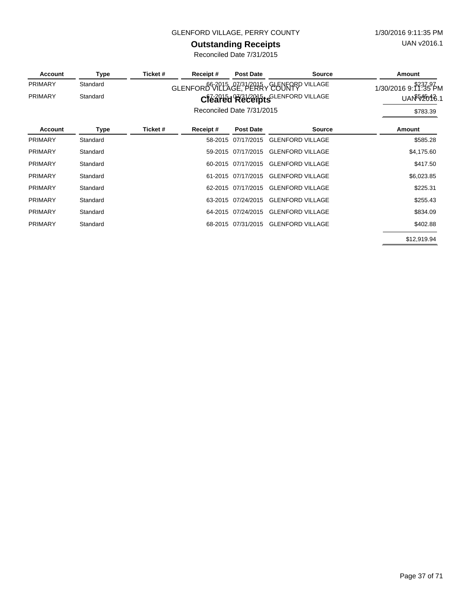### GLENFORD VILLAGE, PERRY COUNTY 1/30/2016 9:11:35 PM

# **Outstanding Receipts**

| <b>Account</b> | Type     | Ticket # | Receipt#                  | <b>Post Date</b>   | <b>Source</b>                              | Amount                     |
|----------------|----------|----------|---------------------------|--------------------|--------------------------------------------|----------------------------|
| <b>PRIMARY</b> | Standard |          |                           |                    | GLENFORD 672215 GE? PERRY GUENTARP VILLAGE | 1/30/2016 9: 1339 PM       |
| <b>PRIMARY</b> | Standard |          |                           |                    | Cleared Receipts GLENFORD VILLAGE          | UAN <sup>\$54</sup> 2016.1 |
|                |          |          | Reconciled Date 7/31/2015 |                    |                                            | \$783.39                   |
| <b>Account</b> | Type     | Ticket # | Receipt#                  | <b>Post Date</b>   | <b>Source</b>                              | Amount                     |
| <b>PRIMARY</b> | Standard |          | 58-2015                   | 07/17/2015         | <b>GLENFORD VILLAGE</b>                    | \$585.28                   |
| <b>PRIMARY</b> | Standard |          |                           | 59-2015 07/17/2015 | <b>GLENFORD VILLAGE</b>                    | \$4,175.60                 |
| <b>PRIMARY</b> | Standard |          |                           | 60-2015 07/17/2015 | <b>GLENFORD VILLAGE</b>                    | \$417.50                   |
| <b>PRIMARY</b> | Standard |          |                           | 61-2015 07/17/2015 | <b>GLENFORD VILLAGE</b>                    | \$6,023.85                 |
| <b>PRIMARY</b> | Standard |          |                           | 62-2015 07/17/2015 | <b>GLENFORD VILLAGE</b>                    | \$225.31                   |
| <b>PRIMARY</b> | Standard |          |                           | 63-2015 07/24/2015 | <b>GLENFORD VILLAGE</b>                    | \$255.43                   |
| <b>PRIMARY</b> | Standard |          | 64-2015                   | 07/24/2015         | <b>GLENFORD VILLAGE</b>                    | \$834.09                   |
| <b>PRIMARY</b> | Standard |          |                           | 68-2015 07/31/2015 | <b>GLENFORD VILLAGE</b>                    | \$402.88                   |
|                |          |          |                           |                    |                                            | \$12,919.94                |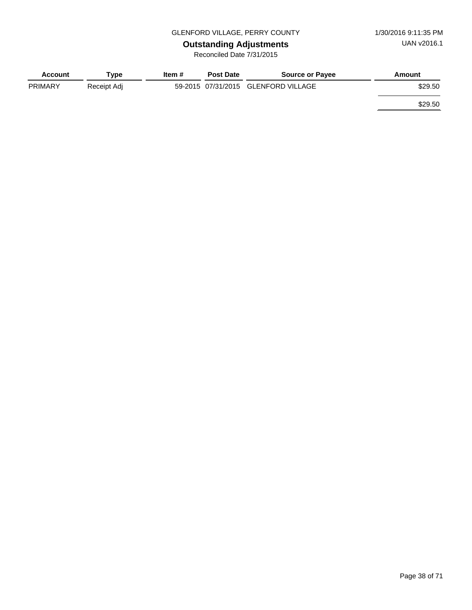# **Outstanding Adjustments**

| <b>Account</b> | Tvpe        | Item # | <b>Post Date</b> | <b>Source or Payee</b>              | Amount  |
|----------------|-------------|--------|------------------|-------------------------------------|---------|
| <b>PRIMARY</b> | Receipt Adj |        |                  | 59-2015 07/31/2015 GLENFORD VILLAGE | \$29.50 |
|                |             |        |                  |                                     | \$29.50 |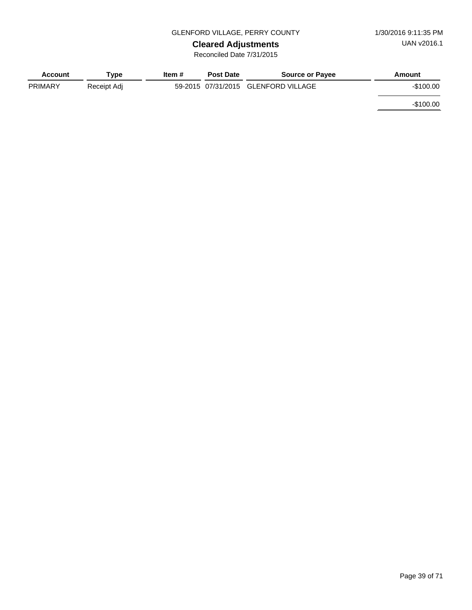# **Cleared Adjustments**

| Account        | Tvpe        | Item # | <b>Post Date</b>   | <b>Source or Payee</b> | Amount     |
|----------------|-------------|--------|--------------------|------------------------|------------|
| <b>PRIMARY</b> | Receipt Adj |        | 59-2015 07/31/2015 | GLENFORD VILLAGE       | $-$100.00$ |
|                |             |        |                    |                        | $-$100.00$ |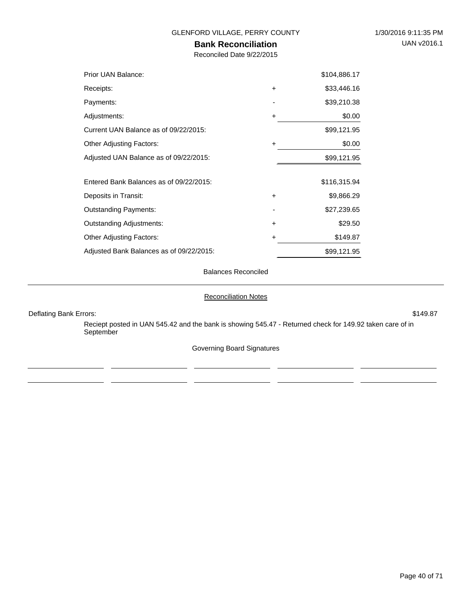### **Bank Reconciliation**

Reconciled Date 9/22/2015

| Prior UAN Balance:                       |           | \$104,886.17 |
|------------------------------------------|-----------|--------------|
| Receipts:                                | $\ddot{}$ | \$33,446.16  |
| Payments:                                |           | \$39,210.38  |
| Adjustments:                             | $\ddot{}$ | \$0.00       |
| Current UAN Balance as of 09/22/2015:    |           | \$99,121.95  |
| <b>Other Adjusting Factors:</b>          | $\ddot{}$ | \$0.00       |
| Adjusted UAN Balance as of 09/22/2015:   |           | \$99,121.95  |
| Entered Bank Balances as of 09/22/2015:  |           | \$116,315.94 |
| Deposits in Transit:                     | $\ddot{}$ | \$9,866.29   |
| <b>Outstanding Payments:</b>             |           | \$27,239.65  |
| <b>Outstanding Adjustments:</b>          | $\ddot{}$ | \$29.50      |
| <b>Other Adjusting Factors:</b>          | ٠         | \$149.87     |
| Adjusted Bank Balances as of 09/22/2015: |           | \$99,121.95  |

Balances Reconciled

#### Reconciliation Notes

Deflating Bank Errors: \$149.87

 $\overline{\phantom{a}}$ 

Reciept posted in UAN 545.42 and the bank is showing 545.47 - Returned check for 149.92 taken care of in September

Governing Board Signatures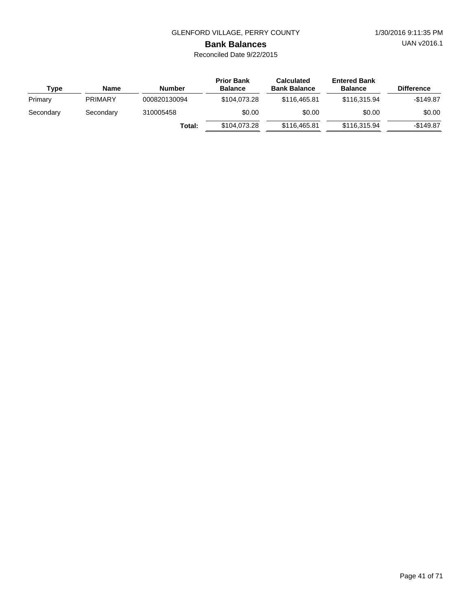UAN v2016.1

# **Bank Balances**

| Type      | <b>Name</b>    | Number       | <b>Prior Bank</b><br><b>Balance</b> | <b>Calculated</b><br><b>Bank Balance</b> | <b>Entered Bank</b><br><b>Balance</b> | <b>Difference</b> |
|-----------|----------------|--------------|-------------------------------------|------------------------------------------|---------------------------------------|-------------------|
| Primary   | <b>PRIMARY</b> | 000820130094 | \$104.073.28                        | \$116,465.81                             | \$116,315.94                          | $-$149.87$        |
| Secondary | Secondary      | 310005458    | \$0.00                              | \$0.00                                   | \$0.00                                | \$0.00            |
|           |                | Total:       | \$104,073.28                        | \$116,465.81                             | \$116,315,94                          | $-$149.87$        |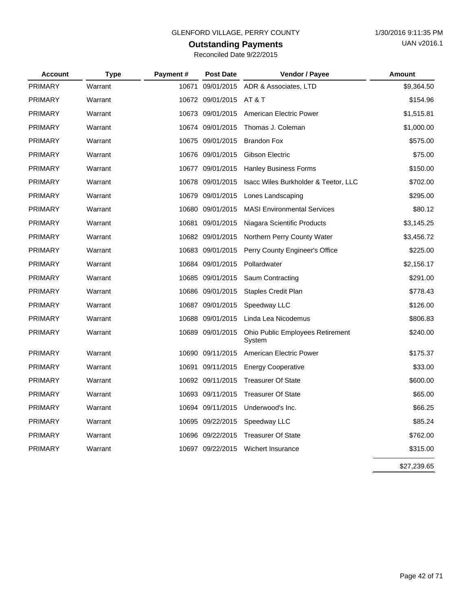# **Outstanding Payments**

| <b>Account</b> | <b>Type</b> | Payment# | <b>Post Date</b>        | Vendor / Payee                                    | <b>Amount</b> |
|----------------|-------------|----------|-------------------------|---------------------------------------------------|---------------|
| <b>PRIMARY</b> | Warrant     | 10671    |                         | 09/01/2015 ADR & Associates, LTD                  | \$9,364.50    |
| <b>PRIMARY</b> | Warrant     |          | 10672 09/01/2015 AT & T |                                                   | \$154.96      |
| <b>PRIMARY</b> | Warrant     |          | 10673 09/01/2015        | American Electric Power                           | \$1,515.81    |
| PRIMARY        | Warrant     |          | 10674 09/01/2015        | Thomas J. Coleman                                 | \$1,000.00    |
| <b>PRIMARY</b> | Warrant     |          | 10675 09/01/2015        | <b>Brandon Fox</b>                                | \$575.00      |
| <b>PRIMARY</b> | Warrant     |          | 10676 09/01/2015        | Gibson Electric                                   | \$75.00       |
| <b>PRIMARY</b> | Warrant     |          | 10677 09/01/2015        | <b>Hanley Business Forms</b>                      | \$150.00      |
| <b>PRIMARY</b> | Warrant     |          | 10678 09/01/2015        | Isacc Wiles Burkholder & Teetor, LLC              | \$702.00      |
| <b>PRIMARY</b> | Warrant     |          | 10679 09/01/2015        | Lones Landscaping                                 | \$295.00      |
| <b>PRIMARY</b> | Warrant     |          | 10680 09/01/2015        | <b>MASI Environmental Services</b>                | \$80.12       |
| <b>PRIMARY</b> | Warrant     | 10681    | 09/01/2015              | Niagara Scientific Products                       | \$3,145.25    |
| <b>PRIMARY</b> | Warrant     |          | 10682 09/01/2015        | Northern Perry County Water                       | \$3,456.72    |
| <b>PRIMARY</b> | Warrant     |          | 10683 09/01/2015        | Perry County Engineer's Office                    | \$225.00      |
| <b>PRIMARY</b> | Warrant     |          | 10684 09/01/2015        | Pollardwater                                      | \$2,156.17    |
| <b>PRIMARY</b> | Warrant     |          | 10685 09/01/2015        | Saum Contracting                                  | \$291.00      |
| <b>PRIMARY</b> | Warrant     |          | 10686 09/01/2015        | <b>Staples Credit Plan</b>                        | \$778.43      |
| <b>PRIMARY</b> | Warrant     |          | 10687 09/01/2015        | Speedway LLC                                      | \$126.00      |
| <b>PRIMARY</b> | Warrant     |          | 10688 09/01/2015        | Linda Lea Nicodemus                               | \$806.83      |
| <b>PRIMARY</b> | Warrant     |          | 10689 09/01/2015        | <b>Ohio Public Employees Retirement</b><br>System | \$240.00      |
| <b>PRIMARY</b> | Warrant     |          | 10690 09/11/2015        | American Electric Power                           | \$175.37      |
| <b>PRIMARY</b> | Warrant     | 10691    | 09/11/2015              | <b>Energy Cooperative</b>                         | \$33.00       |
| <b>PRIMARY</b> | Warrant     |          | 10692 09/11/2015        | <b>Treasurer Of State</b>                         | \$600.00      |
| <b>PRIMARY</b> | Warrant     |          | 10693 09/11/2015        | <b>Treasurer Of State</b>                         | \$65.00       |
| <b>PRIMARY</b> | Warrant     |          | 10694 09/11/2015        | Underwood's Inc.                                  | \$66.25       |
| <b>PRIMARY</b> | Warrant     |          | 10695 09/22/2015        | Speedway LLC                                      | \$85.24       |
| <b>PRIMARY</b> | Warrant     |          | 10696 09/22/2015        | <b>Treasurer Of State</b>                         | \$762.00      |
| <b>PRIMARY</b> | Warrant     |          | 10697 09/22/2015        | Wichert Insurance                                 | \$315.00      |

\$27,239.65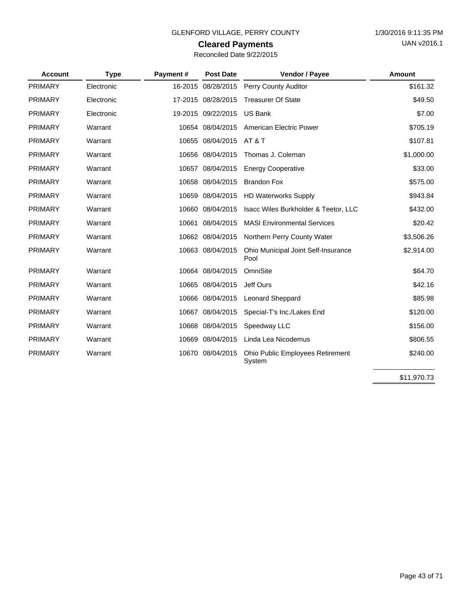### **Cleared Payments**

| Reconciled Date 9/22/2015 |  |
|---------------------------|--|
|---------------------------|--|

| <b>Account</b> | <b>Type</b> | Payment# | <b>Post Date</b>   | Vendor / Payee                              | Amount     |
|----------------|-------------|----------|--------------------|---------------------------------------------|------------|
| PRIMARY        | Electronic  |          | 16-2015 08/28/2015 | <b>Perry County Auditor</b>                 | \$161.32   |
| <b>PRIMARY</b> | Electronic  |          | 17-2015 08/28/2015 | <b>Treasurer Of State</b>                   | \$49.50    |
| <b>PRIMARY</b> | Electronic  |          | 19-2015 09/22/2015 | <b>US Bank</b>                              | \$7.00     |
| <b>PRIMARY</b> | Warrant     |          | 10654 08/04/2015   | American Electric Power                     | \$705.19   |
| <b>PRIMARY</b> | Warrant     |          | 10655 08/04/2015   | <b>AT &amp; T</b>                           | \$107.81   |
| <b>PRIMARY</b> | Warrant     |          | 10656 08/04/2015   | Thomas J. Coleman                           | \$1,000.00 |
| <b>PRIMARY</b> | Warrant     |          | 10657 08/04/2015   | <b>Energy Cooperative</b>                   | \$33.00    |
| <b>PRIMARY</b> | Warrant     |          | 10658 08/04/2015   | <b>Brandon Fox</b>                          | \$575.00   |
| <b>PRIMARY</b> | Warrant     |          | 10659 08/04/2015   | <b>HD Waterworks Supply</b>                 | \$943.84   |
| <b>PRIMARY</b> | Warrant     |          | 10660 08/04/2015   | Isacc Wiles Burkholder & Teetor, LLC        | \$432.00   |
| <b>PRIMARY</b> | Warrant     |          | 10661 08/04/2015   | <b>MASI Environmental Services</b>          | \$20.42    |
| <b>PRIMARY</b> | Warrant     |          | 10662 08/04/2015   | Northern Perry County Water                 | \$3,506.26 |
| <b>PRIMARY</b> | Warrant     |          | 10663 08/04/2015   | Ohio Municipal Joint Self-Insurance<br>Pool | \$2,914.00 |
| <b>PRIMARY</b> | Warrant     |          | 10664 08/04/2015   | OmniSite                                    | \$64.70    |
| <b>PRIMARY</b> | Warrant     |          | 10665 08/04/2015   | Jeff Ours                                   | \$42.16    |
| <b>PRIMARY</b> | Warrant     |          | 10666 08/04/2015   | <b>Leonard Sheppard</b>                     | \$85.98    |
| <b>PRIMARY</b> | Warrant     |          | 10667 08/04/2015   | Special-T's Inc./Lakes End                  | \$120.00   |
| <b>PRIMARY</b> | Warrant     |          | 10668 08/04/2015   | Speedway LLC                                | \$156.00   |
| <b>PRIMARY</b> | Warrant     | 10669    | 08/04/2015         | Linda Lea Nicodemus                         | \$806.55   |
| <b>PRIMARY</b> | Warrant     |          | 10670 08/04/2015   | Ohio Public Employees Retirement<br>System  | \$240.00   |

\$11,970.73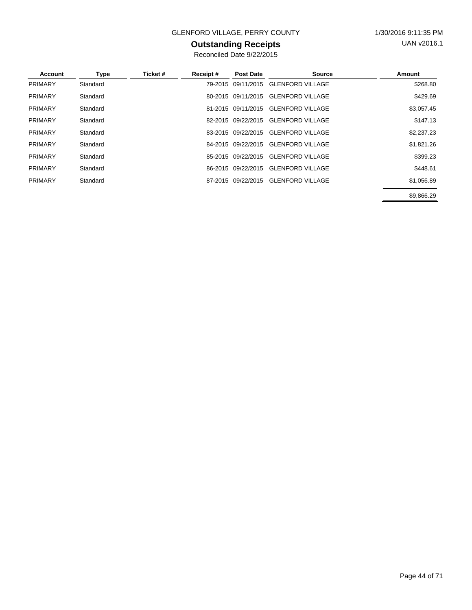### GLENFORD VILLAGE, PERRY COUNTY 1/30/2016 9:11:35 PM

### **Outstanding Receipts**

| Account        | Type     | Ticket # | Receipt# | <b>Post Date</b>   | <b>Source</b>           | Amount     |
|----------------|----------|----------|----------|--------------------|-------------------------|------------|
| <b>PRIMARY</b> | Standard |          |          | 79-2015 09/11/2015 | <b>GLENFORD VILLAGE</b> | \$268.80   |
| <b>PRIMARY</b> | Standard |          |          | 80-2015 09/11/2015 | <b>GLENFORD VILLAGE</b> | \$429.69   |
| <b>PRIMARY</b> | Standard |          |          | 81-2015 09/11/2015 | <b>GLENFORD VILLAGE</b> | \$3,057.45 |
| <b>PRIMARY</b> | Standard |          |          | 82-2015 09/22/2015 | <b>GLENFORD VILLAGE</b> | \$147.13   |
| <b>PRIMARY</b> | Standard |          |          | 83-2015 09/22/2015 | <b>GLENFORD VILLAGE</b> | \$2,237.23 |
| <b>PRIMARY</b> | Standard |          |          | 84-2015 09/22/2015 | <b>GLENFORD VILLAGE</b> | \$1,821.26 |
| <b>PRIMARY</b> | Standard |          |          | 85-2015 09/22/2015 | <b>GLENFORD VILLAGE</b> | \$399.23   |
| <b>PRIMARY</b> | Standard |          |          | 86-2015 09/22/2015 | <b>GLENFORD VILLAGE</b> | \$448.61   |
| <b>PRIMARY</b> | Standard |          |          | 87-2015 09/22/2015 | <b>GLENFORD VILLAGE</b> | \$1,056.89 |
|                |          |          |          |                    |                         | \$9.866.29 |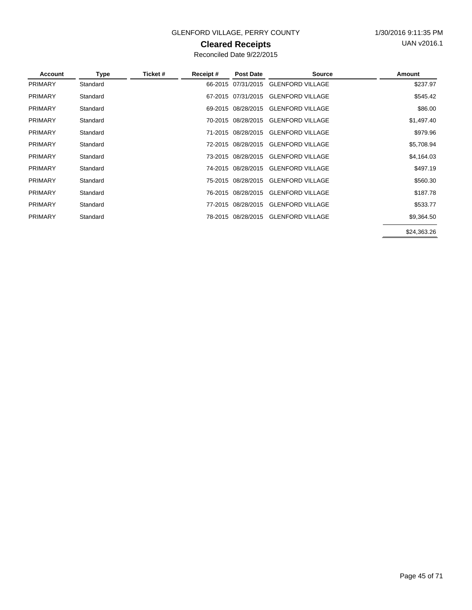### GLENFORD VILLAGE, PERRY COUNTY 1/30/2016 9:11:35 PM

### **Cleared Receipts**

| Account        | Type     | Ticket # | Receipt# | <b>Post Date</b>   | <b>Source</b>                       | Amount      |
|----------------|----------|----------|----------|--------------------|-------------------------------------|-------------|
| <b>PRIMARY</b> | Standard |          |          |                    | 66-2015 07/31/2015 GLENFORD VILLAGE | \$237.97    |
| <b>PRIMARY</b> | Standard |          |          | 67-2015 07/31/2015 | <b>GLENFORD VILLAGE</b>             | \$545.42    |
| <b>PRIMARY</b> | Standard |          |          | 69-2015 08/28/2015 | <b>GLENFORD VILLAGE</b>             | \$86.00     |
| <b>PRIMARY</b> | Standard |          |          |                    | 70-2015 08/28/2015 GLENFORD VILLAGE | \$1,497.40  |
| <b>PRIMARY</b> | Standard |          |          | 71-2015 08/28/2015 | <b>GLENFORD VILLAGE</b>             | \$979.96    |
| <b>PRIMARY</b> | Standard |          |          | 72-2015 08/28/2015 | <b>GLENFORD VILLAGE</b>             | \$5,708.94  |
| <b>PRIMARY</b> | Standard |          |          |                    | 73-2015 08/28/2015 GLENFORD VILLAGE | \$4,164.03  |
| <b>PRIMARY</b> | Standard |          |          | 74-2015 08/28/2015 | <b>GLENFORD VILLAGE</b>             | \$497.19    |
| <b>PRIMARY</b> | Standard |          |          | 75-2015 08/28/2015 | <b>GLENFORD VILLAGE</b>             | \$560.30    |
| <b>PRIMARY</b> | Standard |          |          | 76-2015 08/28/2015 | <b>GLENFORD VILLAGE</b>             | \$187.78    |
| <b>PRIMARY</b> | Standard |          |          |                    | 77-2015 08/28/2015 GLENFORD VILLAGE | \$533.77    |
| <b>PRIMARY</b> | Standard |          |          |                    | 78-2015 08/28/2015 GLENFORD VILLAGE | \$9,364.50  |
|                |          |          |          |                    |                                     | \$24,363.26 |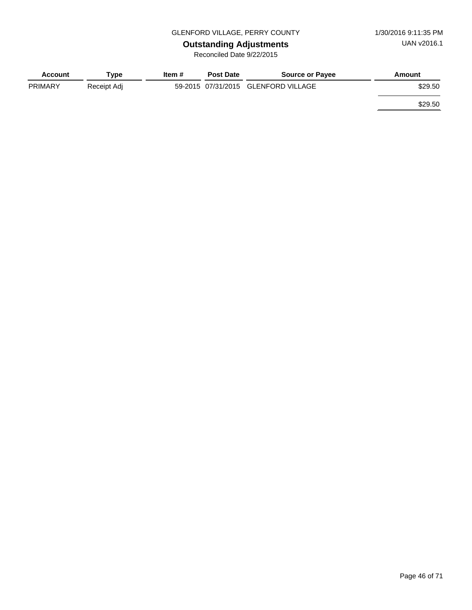# **Outstanding Adjustments**

| <b>Account</b> | Tvpe        | Item # | <b>Post Date</b> | <b>Source or Payee</b>              | Amount  |
|----------------|-------------|--------|------------------|-------------------------------------|---------|
| <b>PRIMARY</b> | Receipt Adj |        |                  | 59-2015 07/31/2015 GLENFORD VILLAGE | \$29.50 |
|                |             |        |                  |                                     | \$29.50 |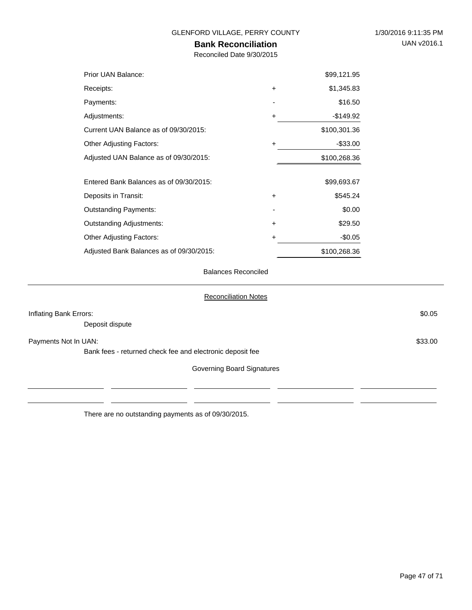### **Bank Reconciliation**

Reconciled Date 9/30/2015

| Prior UAN Balance:                       |           | \$99,121.95  |
|------------------------------------------|-----------|--------------|
| Receipts:                                | $\ddot{}$ | \$1,345.83   |
| Payments:                                |           | \$16.50      |
| Adjustments:                             | ÷         | -\$149.92    |
| Current UAN Balance as of 09/30/2015:    |           | \$100,301.36 |
| <b>Other Adjusting Factors:</b>          | $\ddot{}$ | $-$ \$33.00  |
| Adjusted UAN Balance as of 09/30/2015:   |           | \$100,268.36 |
|                                          |           |              |
| Entered Bank Balances as of 09/30/2015:  |           | \$99,693.67  |
| Deposits in Transit:                     | $\ddot{}$ | \$545.24     |
| <b>Outstanding Payments:</b>             |           | \$0.00       |
| <b>Outstanding Adjustments:</b>          | $\ddot{}$ | \$29.50      |
| <b>Other Adjusting Factors:</b>          | +         | $-$0.05$     |
| Adjusted Bank Balances as of 09/30/2015: |           | \$100,268.36 |

Balances Reconciled

| Inflating Bank Errors:<br>Deposit dispute                                         | \$0.05  |
|-----------------------------------------------------------------------------------|---------|
| Payments Not In UAN:<br>Bank fees - returned check fee and electronic deposit fee | \$33.00 |
| Governing Board Signatures                                                        |         |
|                                                                                   |         |

There are no outstanding payments as of 09/30/2015.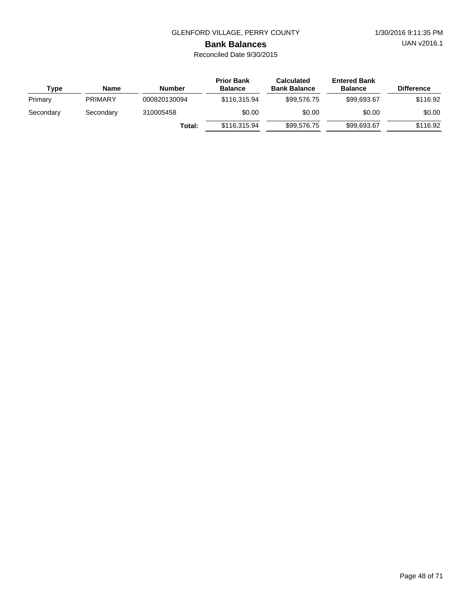UAN v2016.1

# **Bank Balances**

| Type      | <b>Name</b>    | Number       | <b>Prior Bank</b><br><b>Balance</b> | <b>Calculated</b><br><b>Bank Balance</b> | <b>Entered Bank</b><br><b>Balance</b> | <b>Difference</b> |
|-----------|----------------|--------------|-------------------------------------|------------------------------------------|---------------------------------------|-------------------|
| Primary   | <b>PRIMARY</b> | 000820130094 | \$116,315,94                        | \$99.576.75                              | \$99.693.67                           | \$116.92          |
| Secondary | Secondary      | 310005458    | \$0.00                              | \$0.00                                   | \$0.00                                | \$0.00            |
|           |                | Total:       | \$116,315,94                        | \$99.576.75                              | \$99,693,67                           | \$116.92          |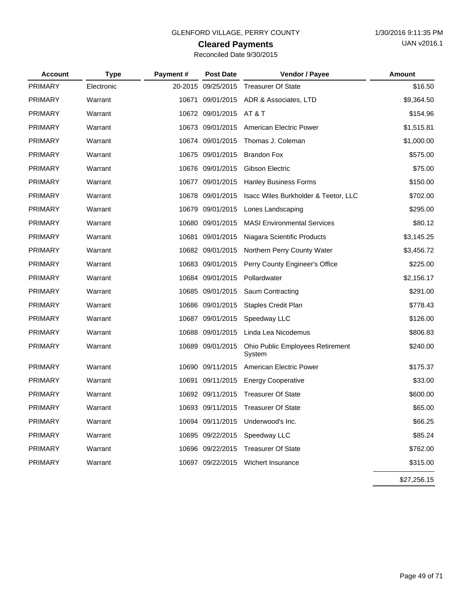### **Cleared Payments**

| Reconciled Date 9/30/2015 |  |
|---------------------------|--|
|---------------------------|--|

| <b>Account</b> | <b>Type</b> | Payment# | <b>Post Date</b>   | Vendor / Payee                             | <b>Amount</b> |
|----------------|-------------|----------|--------------------|--------------------------------------------|---------------|
| <b>PRIMARY</b> | Electronic  |          | 20-2015 09/25/2015 | <b>Treasurer Of State</b>                  | \$16.50       |
| <b>PRIMARY</b> | Warrant     |          | 10671 09/01/2015   | ADR & Associates, LTD                      | \$9,364.50    |
| <b>PRIMARY</b> | Warrant     |          | 10672 09/01/2015   | AT & T                                     | \$154.96      |
| <b>PRIMARY</b> | Warrant     | 10673    | 09/01/2015         | American Electric Power                    | \$1,515.81    |
| <b>PRIMARY</b> | Warrant     |          | 10674 09/01/2015   | Thomas J. Coleman                          | \$1,000.00    |
| <b>PRIMARY</b> | Warrant     |          | 10675 09/01/2015   | <b>Brandon Fox</b>                         | \$575.00      |
| <b>PRIMARY</b> | Warrant     |          | 10676 09/01/2015   | Gibson Electric                            | \$75.00       |
| <b>PRIMARY</b> | Warrant     |          | 10677 09/01/2015   | <b>Hanley Business Forms</b>               | \$150.00      |
| <b>PRIMARY</b> | Warrant     |          | 10678 09/01/2015   | Isacc Wiles Burkholder & Teetor, LLC       | \$702.00      |
| <b>PRIMARY</b> | Warrant     |          | 10679 09/01/2015   | Lones Landscaping                          | \$295.00      |
| <b>PRIMARY</b> | Warrant     |          | 10680 09/01/2015   | <b>MASI Environmental Services</b>         | \$80.12       |
| <b>PRIMARY</b> | Warrant     |          | 10681 09/01/2015   | Niagara Scientific Products                | \$3,145.25    |
| <b>PRIMARY</b> | Warrant     |          | 10682 09/01/2015   | Northern Perry County Water                | \$3,456.72    |
| <b>PRIMARY</b> | Warrant     |          | 10683 09/01/2015   | Perry County Engineer's Office             | \$225.00      |
| <b>PRIMARY</b> | Warrant     |          | 10684 09/01/2015   | Pollardwater                               | \$2,156.17    |
| <b>PRIMARY</b> | Warrant     |          | 10685 09/01/2015   | Saum Contracting                           | \$291.00      |
| <b>PRIMARY</b> | Warrant     |          | 10686 09/01/2015   | <b>Staples Credit Plan</b>                 | \$778.43      |
| <b>PRIMARY</b> | Warrant     |          | 10687 09/01/2015   | Speedway LLC                               | \$126.00      |
| <b>PRIMARY</b> | Warrant     |          | 10688 09/01/2015   | Linda Lea Nicodemus                        | \$806.83      |
| <b>PRIMARY</b> | Warrant     |          | 10689 09/01/2015   | Ohio Public Employees Retirement<br>System | \$240.00      |
| <b>PRIMARY</b> | Warrant     |          | 10690 09/11/2015   | American Electric Power                    | \$175.37      |
| <b>PRIMARY</b> | Warrant     |          | 10691 09/11/2015   | <b>Energy Cooperative</b>                  | \$33.00       |
| <b>PRIMARY</b> | Warrant     |          | 10692 09/11/2015   | <b>Treasurer Of State</b>                  | \$600.00      |
| <b>PRIMARY</b> | Warrant     |          | 10693 09/11/2015   | <b>Treasurer Of State</b>                  | \$65.00       |
| <b>PRIMARY</b> | Warrant     |          | 10694 09/11/2015   | Underwood's Inc.                           | \$66.25       |
| <b>PRIMARY</b> | Warrant     |          | 10695 09/22/2015   | Speedway LLC                               | \$85.24       |
| PRIMARY        | Warrant     |          | 10696 09/22/2015   | <b>Treasurer Of State</b>                  | \$762.00      |
| PRIMARY        | Warrant     |          | 10697 09/22/2015   | Wichert Insurance                          | \$315.00      |
|                |             |          |                    |                                            | \$27,256.15   |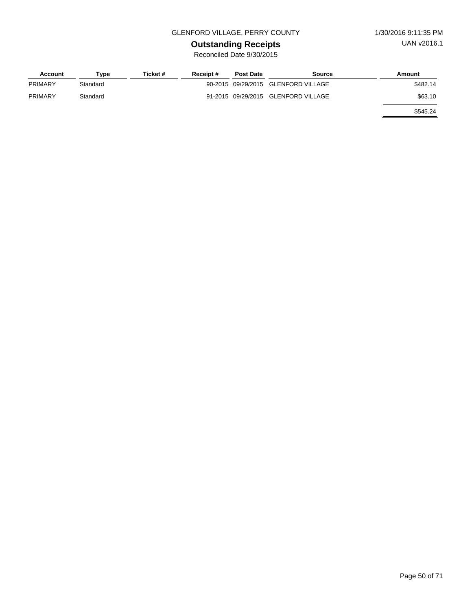### GLENFORD VILLAGE, PERRY COUNTY 1/30/2016 9:11:35 PM

# **Outstanding Receipts**

| Account | Type     | Ticket # | Receipt# | <b>Post Date</b> | Source                              | Amount   |
|---------|----------|----------|----------|------------------|-------------------------------------|----------|
| PRIMARY | Standard |          |          |                  | 90-2015 09/29/2015 GLENFORD VILLAGE | \$482.14 |
| PRIMARY | Standard |          |          |                  | 91-2015 09/29/2015 GLENFORD VILLAGE | \$63.10  |
|         |          |          |          |                  |                                     | \$545.24 |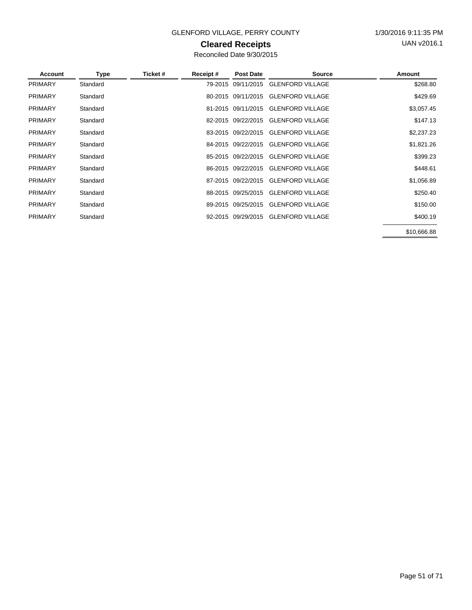### GLENFORD VILLAGE, PERRY COUNTY 1/30/2016 9:11:35 PM

### **Cleared Receipts**

Reconciled Date 9/30/2015

| Account        | Type     | Ticket # | Receipt# | <b>Post Date</b>   | <b>Source</b>                       | Amount     |
|----------------|----------|----------|----------|--------------------|-------------------------------------|------------|
| <b>PRIMARY</b> | Standard |          |          | 79-2015 09/11/2015 | <b>GLENFORD VILLAGE</b>             | \$268.80   |
| <b>PRIMARY</b> | Standard |          |          |                    | 80-2015 09/11/2015 GLENFORD VILLAGE | \$429.69   |
| <b>PRIMARY</b> | Standard |          |          | 81-2015 09/11/2015 | <b>GLENFORD VILLAGE</b>             | \$3,057.45 |
| <b>PRIMARY</b> | Standard |          |          | 82-2015 09/22/2015 | <b>GLENFORD VILLAGE</b>             | \$147.13   |
| <b>PRIMARY</b> | Standard |          |          | 83-2015 09/22/2015 | <b>GLENFORD VILLAGE</b>             | \$2,237.23 |
| <b>PRIMARY</b> | Standard |          |          | 84-2015 09/22/2015 | <b>GLENFORD VILLAGE</b>             | \$1,821.26 |
| <b>PRIMARY</b> | Standard |          |          | 85-2015 09/22/2015 | <b>GLENFORD VILLAGE</b>             | \$399.23   |
| <b>PRIMARY</b> | Standard |          |          | 86-2015 09/22/2015 | <b>GLENFORD VILLAGE</b>             | \$448.61   |
| <b>PRIMARY</b> | Standard |          |          | 87-2015 09/22/2015 | <b>GLENFORD VILLAGE</b>             | \$1,056.89 |
| <b>PRIMARY</b> | Standard |          |          | 88-2015 09/25/2015 | <b>GLENFORD VILLAGE</b>             | \$250.40   |
| <b>PRIMARY</b> | Standard |          |          | 89-2015 09/25/2015 | <b>GLENFORD VILLAGE</b>             | \$150.00   |
| <b>PRIMARY</b> | Standard |          |          | 92-2015 09/29/2015 | <b>GLENFORD VILLAGE</b>             | \$400.19   |
|                |          |          |          |                    |                                     |            |

\$10,666.88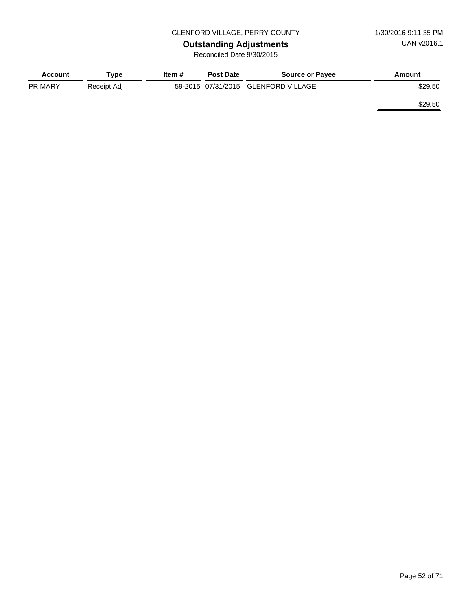# **Outstanding Adjustments**

| <b>Account</b> | Tvpe        | Item # | <b>Post Date</b> | <b>Source or Payee</b>              | Amount  |
|----------------|-------------|--------|------------------|-------------------------------------|---------|
| <b>PRIMARY</b> | Receipt Adj |        |                  | 59-2015 07/31/2015 GLENFORD VILLAGE | \$29.50 |
|                |             |        |                  |                                     | \$29.50 |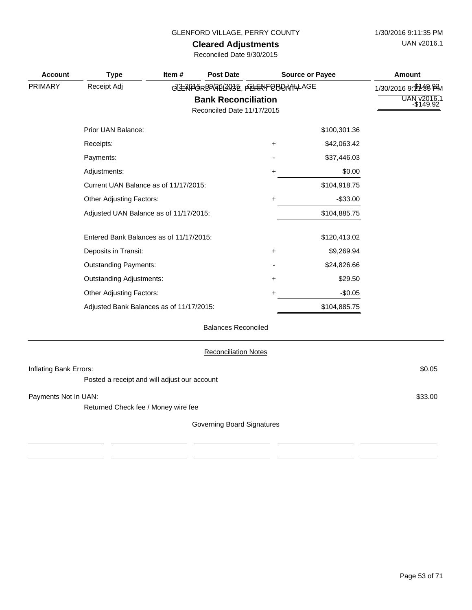# **Cleared Adjustments**

| <b>Account</b>         | <b>Type</b>                                  | Item $#$ | <b>Post Date</b>                                         |           | <b>Source or Payee</b> | <b>Amount</b>        |
|------------------------|----------------------------------------------|----------|----------------------------------------------------------|-----------|------------------------|----------------------|
| <b>PRIMARY</b>         | Receipt Adj                                  |          | GREAPGRD9486420GE, PELERANFOBDN/HALAGE                   |           |                        | 1/30/2016 9: M-38 PM |
|                        |                                              |          | <b>Bank Reconciliation</b><br>Reconciled Date 11/17/2015 |           |                        | UAN v2016.1          |
|                        | Prior UAN Balance:                           |          |                                                          |           | \$100,301.36           |                      |
|                        | Receipts:                                    |          |                                                          | $\ddot{}$ | \$42,063.42            |                      |
|                        | Payments:                                    |          |                                                          |           | \$37,446.03            |                      |
|                        | Adjustments:                                 |          |                                                          | +         | \$0.00                 |                      |
|                        | Current UAN Balance as of 11/17/2015:        |          |                                                          |           | \$104,918.75           |                      |
|                        | Other Adjusting Factors:                     |          |                                                          | $\ddot{}$ | $-$ \$33.00            |                      |
|                        | Adjusted UAN Balance as of 11/17/2015:       |          |                                                          |           | \$104,885.75           |                      |
|                        | Entered Bank Balances as of 11/17/2015:      |          |                                                          |           | \$120,413.02           |                      |
|                        | Deposits in Transit:                         |          |                                                          | $\ddot{}$ | \$9,269.94             |                      |
|                        | <b>Outstanding Payments:</b>                 |          |                                                          |           | \$24,826.66            |                      |
|                        | <b>Outstanding Adjustments:</b>              |          |                                                          | $\ddot{}$ | \$29.50                |                      |
|                        | <b>Other Adjusting Factors:</b>              |          |                                                          | +         | $-$0.05$               |                      |
|                        | Adjusted Bank Balances as of 11/17/2015:     |          |                                                          |           | \$104,885.75           |                      |
|                        |                                              |          | <b>Balances Reconciled</b>                               |           |                        |                      |
|                        |                                              |          | <b>Reconciliation Notes</b>                              |           |                        |                      |
| Inflating Bank Errors: |                                              |          |                                                          |           |                        | \$0.05               |
|                        | Posted a receipt and will adjust our account |          |                                                          |           |                        |                      |
| Payments Not In UAN:   |                                              |          |                                                          |           |                        | \$33.00              |
|                        | Returned Check fee / Money wire fee          |          |                                                          |           |                        |                      |
|                        |                                              |          | Governing Board Signatures                               |           |                        |                      |
|                        |                                              |          |                                                          |           |                        |                      |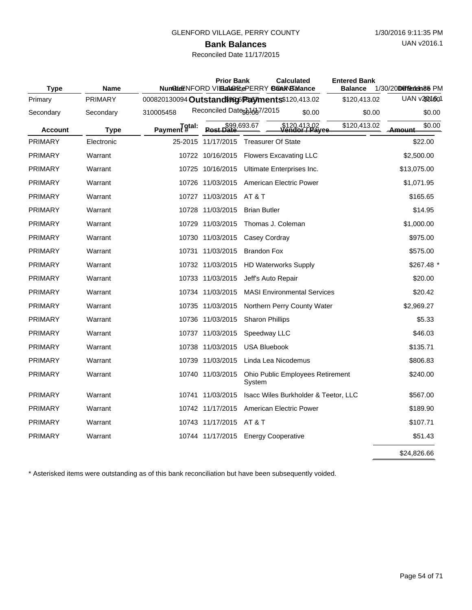### **Bank Balances**

### Reconciled Date 11/17/2015

| <b>Type</b>    | <b>Name</b> | Nundble ENFORD VILBEA @ FIGERRY BOOKNER and CONTROL | <b>Prior Bank</b>                   |                           |                        | <b>Calculated</b>                     | <b>Entered Bank</b><br><b>Balance</b> | 1/30/20Deffeerten 86 PM |              |
|----------------|-------------|-----------------------------------------------------|-------------------------------------|---------------------------|------------------------|---------------------------------------|---------------------------------------|-------------------------|--------------|
| Primary        | PRIMARY     | 000820130094 Outstanding payments \$120,413.02      |                                     |                           |                        |                                       | \$120,413.02                          |                         | UAN v2001601 |
| Secondary      | Secondary   | 310005458                                           | Reconciled Dates 61687/2015         |                           |                        | \$0.00                                | \$0.00                                |                         | \$0.00       |
| <b>Account</b> | <b>Type</b> | Payment <sup>#</sup>                                | \$99,693.67<br>Post Date            |                           |                        | \$120,413,02<br><b>Vendor / Payee</b> | \$120,413.02                          | Amount                  | \$0.00       |
| <b>PRIMARY</b> | Electronic  |                                                     | 25-2015 11/17/2015                  | <b>Treasurer Of State</b> |                        |                                       |                                       |                         | \$22.00      |
| <b>PRIMARY</b> | Warrant     |                                                     | 10722 10/16/2015                    |                           |                        | <b>Flowers Excavating LLC</b>         |                                       | \$2,500.00              |              |
| <b>PRIMARY</b> | Warrant     |                                                     | 10725 10/16/2015                    |                           |                        | Ultimate Enterprises Inc.             |                                       | \$13,075.00             |              |
| <b>PRIMARY</b> | Warrant     |                                                     | 10726 11/03/2015                    |                           |                        | American Electric Power               |                                       | \$1,071.95              |              |
| <b>PRIMARY</b> | Warrant     |                                                     | 10727 11/03/2015                    | <b>AT &amp; T</b>         |                        |                                       |                                       |                         | \$165.65     |
| <b>PRIMARY</b> | Warrant     |                                                     | 10728 11/03/2015                    | <b>Brian Butler</b>       |                        |                                       |                                       |                         | \$14.95      |
| <b>PRIMARY</b> | Warrant     |                                                     | 10729 11/03/2015                    | Thomas J. Coleman         |                        |                                       |                                       | \$1,000.00              |              |
| <b>PRIMARY</b> | Warrant     |                                                     | 10730 11/03/2015                    |                           | Casey Cordray          |                                       |                                       |                         | \$975.00     |
| <b>PRIMARY</b> | Warrant     |                                                     | 10731 11/03/2015                    | <b>Brandon Fox</b>        |                        |                                       |                                       |                         | \$575.00     |
| <b>PRIMARY</b> | Warrant     |                                                     | 10732 11/03/2015                    |                           |                        | <b>HD Waterworks Supply</b>           |                                       |                         | $$267.48$ *  |
| <b>PRIMARY</b> | Warrant     |                                                     | 10733 11/03/2015                    |                           | Jeff's Auto Repair     |                                       |                                       |                         | \$20.00      |
| <b>PRIMARY</b> | Warrant     |                                                     | 10734 11/03/2015                    |                           |                        | <b>MASI Environmental Services</b>    |                                       |                         | \$20.42      |
| <b>PRIMARY</b> | Warrant     |                                                     | 10735 11/03/2015                    |                           |                        | Northern Perry County Water           |                                       | \$2,969.27              |              |
| <b>PRIMARY</b> | Warrant     |                                                     | 10736 11/03/2015                    |                           | <b>Sharon Phillips</b> |                                       |                                       |                         | \$5.33       |
| <b>PRIMARY</b> | Warrant     |                                                     | 10737 11/03/2015                    |                           | Speedway LLC           |                                       |                                       |                         | \$46.03      |
| <b>PRIMARY</b> | Warrant     |                                                     | 10738 11/03/2015                    |                           | <b>USA Bluebook</b>    |                                       |                                       |                         | \$135.71     |
| <b>PRIMARY</b> | Warrant     |                                                     | 10739 11/03/2015                    |                           |                        | Linda Lea Nicodemus                   |                                       |                         | \$806.83     |
| <b>PRIMARY</b> | Warrant     |                                                     | 10740 11/03/2015                    | System                    |                        | Ohio Public Employees Retirement      |                                       |                         | \$240.00     |
| <b>PRIMARY</b> | Warrant     |                                                     | 10741 11/03/2015                    |                           |                        | Isacc Wiles Burkholder & Teetor, LLC  |                                       |                         | \$567.00     |
| <b>PRIMARY</b> | Warrant     |                                                     | 10742 11/17/2015                    |                           |                        | <b>American Electric Power</b>        |                                       |                         | \$189.90     |
| <b>PRIMARY</b> | Warrant     |                                                     | 10743 11/17/2015                    | AT & T                    |                        |                                       |                                       |                         | \$107.71     |
| <b>PRIMARY</b> | Warrant     |                                                     | 10744 11/17/2015 Energy Cooperative |                           |                        |                                       |                                       |                         | \$51.43      |
|                |             |                                                     |                                     |                           |                        |                                       |                                       | \$24,826.66             |              |

\* Asterisked items were outstanding as of this bank reconciliation but have been subsequently voided.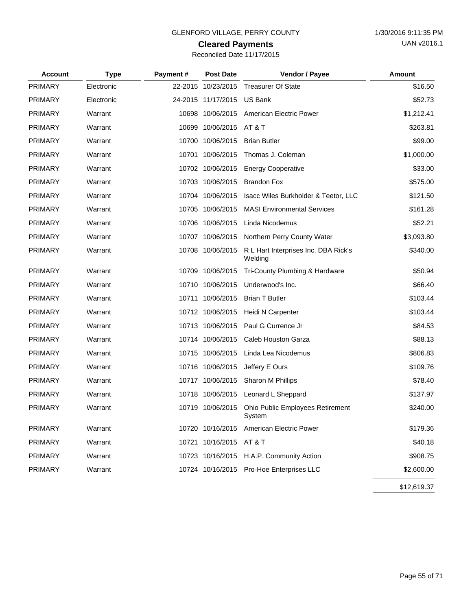# **Cleared Payments**

| Reconciled Date 11/17/2015 |  |  |
|----------------------------|--|--|
|                            |  |  |

| <b>Account</b> | <b>Type</b> | Payment# | <b>Post Date</b>        | Vendor / Payee                                    | Amount      |
|----------------|-------------|----------|-------------------------|---------------------------------------------------|-------------|
| <b>PRIMARY</b> | Electronic  |          | 22-2015 10/23/2015      | <b>Treasurer Of State</b>                         | \$16.50     |
| <b>PRIMARY</b> | Electronic  |          | 24-2015 11/17/2015      | <b>US Bank</b>                                    | \$52.73     |
| <b>PRIMARY</b> | Warrant     |          | 10698 10/06/2015        | American Electric Power                           | \$1,212.41  |
| <b>PRIMARY</b> | Warrant     |          | 10699 10/06/2015        | <b>AT &amp; T</b>                                 | \$263.81    |
| <b>PRIMARY</b> | Warrant     |          | 10700 10/06/2015        | <b>Brian Butler</b>                               | \$99.00     |
| <b>PRIMARY</b> | Warrant     | 10701    | 10/06/2015              | Thomas J. Coleman                                 | \$1,000.00  |
| <b>PRIMARY</b> | Warrant     |          | 10702 10/06/2015        | <b>Energy Cooperative</b>                         | \$33.00     |
| <b>PRIMARY</b> | Warrant     |          | 10703 10/06/2015        | <b>Brandon Fox</b>                                | \$575.00    |
| <b>PRIMARY</b> | Warrant     |          | 10704 10/06/2015        | Isacc Wiles Burkholder & Teetor, LLC              | \$121.50    |
| <b>PRIMARY</b> | Warrant     |          | 10705 10/06/2015        | <b>MASI Environmental Services</b>                | \$161.28    |
| <b>PRIMARY</b> | Warrant     |          | 10706 10/06/2015        | Linda Nicodemus                                   | \$52.21     |
| PRIMARY        | Warrant     |          | 10707 10/06/2015        | Northern Perry County Water                       | \$3,093.80  |
| <b>PRIMARY</b> | Warrant     |          | 10708 10/06/2015        | R L Hart Interprises Inc. DBA Rick's<br>Welding   | \$340.00    |
| <b>PRIMARY</b> | Warrant     |          | 10709 10/06/2015        | Tri-County Plumbing & Hardware                    | \$50.94     |
| <b>PRIMARY</b> | Warrant     |          | 10710 10/06/2015        | Underwood's Inc.                                  | \$66.40     |
| <b>PRIMARY</b> | Warrant     |          | 10711 10/06/2015        | <b>Brian T Butler</b>                             | \$103.44    |
| <b>PRIMARY</b> | Warrant     |          | 10712 10/06/2015        | Heidi N Carpenter                                 | \$103.44    |
| <b>PRIMARY</b> | Warrant     |          | 10713 10/06/2015        | Paul G Currence Jr                                | \$84.53     |
| <b>PRIMARY</b> | Warrant     |          | 10714 10/06/2015        | Caleb Houston Garza                               | \$88.13     |
| <b>PRIMARY</b> | Warrant     |          | 10715 10/06/2015        | Linda Lea Nicodemus                               | \$806.83    |
| <b>PRIMARY</b> | Warrant     |          | 10716 10/06/2015        | Jeffery E Ours                                    | \$109.76    |
| <b>PRIMARY</b> | Warrant     |          | 10717 10/06/2015        | Sharon M Phillips                                 | \$78.40     |
| <b>PRIMARY</b> | Warrant     |          | 10718 10/06/2015        | Leonard L Sheppard                                | \$137.97    |
| <b>PRIMARY</b> | Warrant     |          | 10719 10/06/2015        | <b>Ohio Public Employees Retirement</b><br>System | \$240.00    |
| <b>PRIMARY</b> | Warrant     |          |                         | 10720 10/16/2015 American Electric Power          | \$179.36    |
| PRIMARY        | Warrant     |          | 10721 10/16/2015 AT & T |                                                   | \$40.18     |
| <b>PRIMARY</b> | Warrant     |          |                         | 10723 10/16/2015 H.A.P. Community Action          | \$908.75    |
| <b>PRIMARY</b> | Warrant     |          |                         | 10724 10/16/2015 Pro-Hoe Enterprises LLC          | \$2,600.00  |
|                |             |          |                         |                                                   | \$12,619.37 |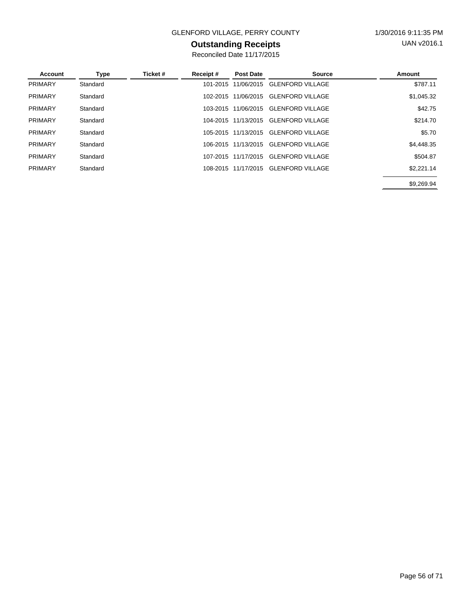### GLENFORD VILLAGE, PERRY COUNTY 1/30/2016 9:11:35 PM

### **Outstanding Receipts**

Reconciled Date 11/17/2015

| Account        | Type     | Ticket # | Receipt# | <b>Post Date</b>    | <b>Source</b>           | Amount     |
|----------------|----------|----------|----------|---------------------|-------------------------|------------|
| PRIMARY        | Standard |          | 101-2015 | 11/06/2015          | <b>GLENFORD VILLAGE</b> | \$787.11   |
| <b>PRIMARY</b> | Standard |          | 102-2015 | 11/06/2015          | <b>GLENFORD VILLAGE</b> | \$1,045.32 |
| <b>PRIMARY</b> | Standard |          | 103-2015 | 11/06/2015          | <b>GLENFORD VILLAGE</b> | \$42.75    |
| PRIMARY        | Standard |          | 104-2015 | 11/13/2015          | <b>GLENFORD VILLAGE</b> | \$214.70   |
| <b>PRIMARY</b> | Standard |          |          | 105-2015 11/13/2015 | <b>GLENFORD VILLAGE</b> | \$5.70     |
| PRIMARY        | Standard |          |          | 106-2015 11/13/2015 | <b>GLENFORD VILLAGE</b> | \$4,448.35 |
| <b>PRIMARY</b> | Standard |          | 107-2015 | 11/17/2015          | <b>GLENFORD VILLAGE</b> | \$504.87   |
| PRIMARY        | Standard |          |          | 108-2015 11/17/2015 | <b>GLENFORD VILLAGE</b> | \$2,221.14 |
|                |          |          |          |                     |                         | \$9.269.94 |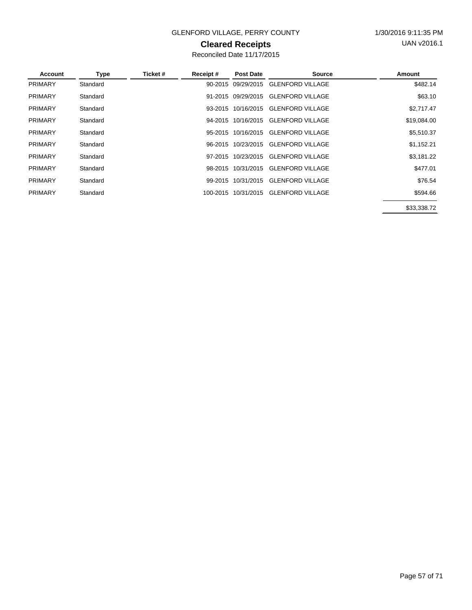### GLENFORD VILLAGE, PERRY COUNTY 1/30/2016 9:11:35 PM

### **Cleared Receipts**

Reconciled Date 11/17/2015

| <b>Account</b> | <b>Type</b> | Ticket # | Receipt# | <b>Post Date</b>   | <b>Source</b>           | Amount                                                                         |
|----------------|-------------|----------|----------|--------------------|-------------------------|--------------------------------------------------------------------------------|
| <b>PRIMARY</b> | Standard    |          |          | 90-2015 09/29/2015 | <b>GLENFORD VILLAGE</b> | \$482.14                                                                       |
| <b>PRIMARY</b> | Standard    |          |          | 91-2015 09/29/2015 | <b>GLENFORD VILLAGE</b> | \$63.10                                                                        |
| <b>PRIMARY</b> | Standard    |          |          | 93-2015 10/16/2015 | <b>GLENFORD VILLAGE</b> | \$2,717.47                                                                     |
| <b>PRIMARY</b> | Standard    |          | 94-2015  | 10/16/2015         | <b>GLENFORD VILLAGE</b> | \$19,084.00                                                                    |
| <b>PRIMARY</b> | Standard    |          | 95-2015  | 10/16/2015         | <b>GLENFORD VILLAGE</b> | \$5,510.37                                                                     |
| <b>PRIMARY</b> | Standard    |          |          | 96-2015 10/23/2015 | <b>GLENFORD VILLAGE</b> | \$1,152.21                                                                     |
| <b>PRIMARY</b> | Standard    |          |          | 97-2015 10/23/2015 | <b>GLENFORD VILLAGE</b> | \$3,181.22                                                                     |
| <b>PRIMARY</b> | Standard    |          | 98-2015  | 10/31/2015         | <b>GLENFORD VILLAGE</b> | \$477.01                                                                       |
| <b>PRIMARY</b> | Standard    |          | 99-2015  | 10/31/2015         | <b>GLENFORD VILLAGE</b> | \$76.54                                                                        |
| <b>PRIMARY</b> | Standard    |          | 100-2015 | 10/31/2015         | <b>GLENFORD VILLAGE</b> | \$594.66                                                                       |
|                |             |          |          |                    |                         | $\mathbf{a} \mathbf{a} \mathbf{a} \mathbf{a} \mathbf{a} \mathbf{a} \mathbf{a}$ |

\$33,338.72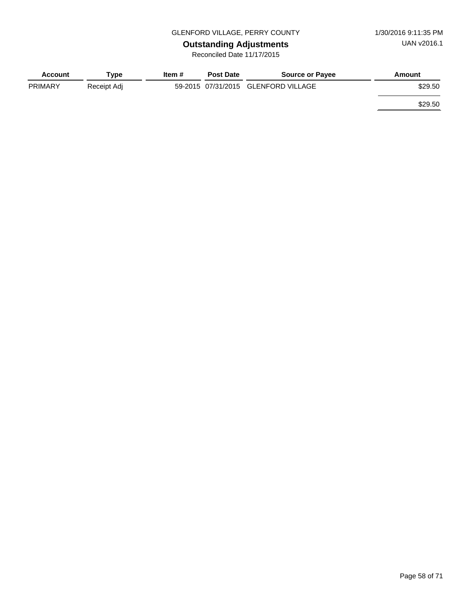# **Outstanding Adjustments**

Reconciled Date 11/17/2015

| <b>Account</b> | Tvpe        | Item # | <b>Post Date</b> | <b>Source or Payee</b>              | Amount  |
|----------------|-------------|--------|------------------|-------------------------------------|---------|
| <b>PRIMARY</b> | Receipt Adj |        |                  | 59-2015 07/31/2015 GLENFORD VILLAGE | \$29.50 |
|                |             |        |                  |                                     | \$29.50 |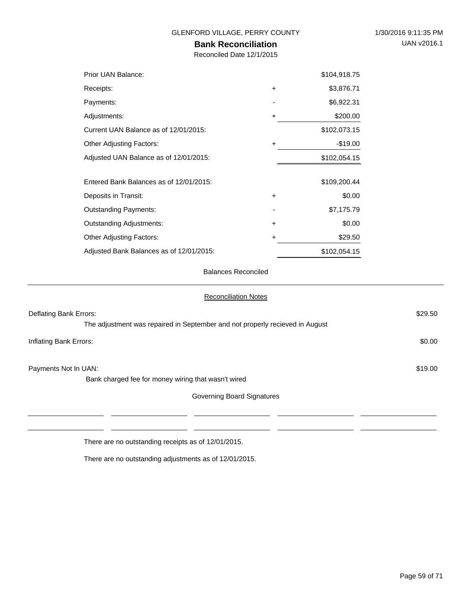### **Bank Reconciliation**

Reconciled Date 12/1/2015

| Prior UAN Balance:                       |           | \$104,918.75 |
|------------------------------------------|-----------|--------------|
| Receipts:                                | $\ddot{}$ | \$3,876.71   |
| Payments:                                |           | \$6,922.31   |
| Adjustments:                             | ٠         | \$200.00     |
| Current UAN Balance as of 12/01/2015:    |           | \$102,073.15 |
| <b>Other Adjusting Factors:</b>          | $\ddot{}$ | $-$19.00$    |
| Adjusted UAN Balance as of 12/01/2015:   |           | \$102,054.15 |
| Entered Bank Balances as of 12/01/2015:  |           | \$109,200.44 |
| Deposits in Transit:                     | $\ddot{}$ | \$0.00       |
| <b>Outstanding Payments:</b>             |           | \$7,175.79   |
| <b>Outstanding Adjustments:</b>          | $\ddot{}$ | \$0.00       |
| <b>Other Adjusting Factors:</b>          | +         | \$29.50      |
| Adjusted Bank Balances as of 12/01/2015: |           | \$102,054.15 |

Balances Reconciled

| <b>Reconciliation Notes</b>                                                  |         |
|------------------------------------------------------------------------------|---------|
| Deflating Bank Errors:                                                       | \$29.50 |
| The adjustment was repaired in September and not properly recieved in August |         |
| Inflating Bank Errors:                                                       | \$0.00  |
| Payments Not In UAN:                                                         | \$19.00 |
| Bank charged fee for money wiring that wasn't wired                          |         |
| Governing Board Signatures                                                   |         |
|                                                                              |         |
|                                                                              |         |

There are no outstanding receipts as of 12/01/2015.

There are no outstanding adjustments as of 12/01/2015.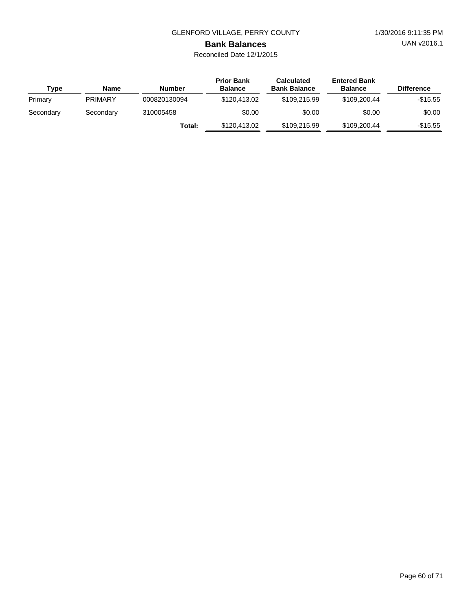UAN v2016.1

# **Bank Balances**

| Type      | <b>Name</b>    | Number       | <b>Prior Bank</b><br><b>Balance</b> | <b>Calculated</b><br><b>Bank Balance</b> | <b>Entered Bank</b><br><b>Balance</b> | <b>Difference</b> |
|-----------|----------------|--------------|-------------------------------------|------------------------------------------|---------------------------------------|-------------------|
| Primary   | <b>PRIMARY</b> | 000820130094 | \$120,413,02                        | \$109,215.99                             | \$109,200.44                          | -\$15.55          |
| Secondary | Secondary      | 310005458    | \$0.00                              | \$0.00                                   | \$0.00                                | \$0.00            |
|           |                | Total:       | \$120,413,02                        | \$109,215.99                             | \$109,200.44                          | $-$15.55$         |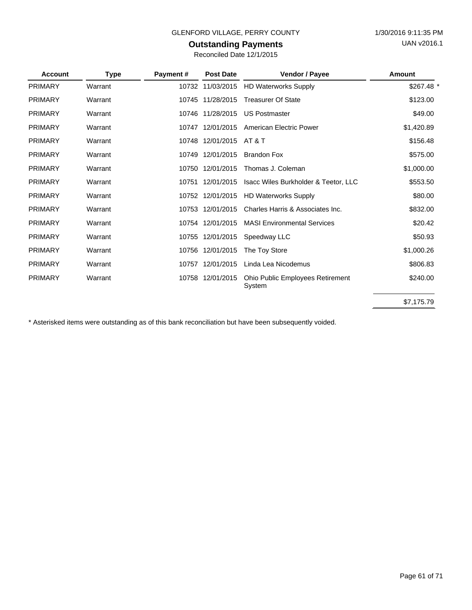### **Outstanding Payments**

| <b>Account</b> | <b>Type</b> | Payment# | <b>Post Date</b> | Vendor / Payee                             | Amount     |
|----------------|-------------|----------|------------------|--------------------------------------------|------------|
| <b>PRIMARY</b> | Warrant     |          | 10732 11/03/2015 | <b>HD Waterworks Supply</b>                | \$267.48 * |
| <b>PRIMARY</b> | Warrant     |          | 10745 11/28/2015 | <b>Treasurer Of State</b>                  | \$123.00   |
| <b>PRIMARY</b> | Warrant     |          | 10746 11/28/2015 | <b>US Postmaster</b>                       | \$49.00    |
| <b>PRIMARY</b> | Warrant     | 10747    | 12/01/2015       | American Electric Power                    | \$1,420.89 |
| <b>PRIMARY</b> | Warrant     | 10748    | 12/01/2015       | AT & T                                     | \$156.48   |
| <b>PRIMARY</b> | Warrant     | 10749    | 12/01/2015       | <b>Brandon Fox</b>                         | \$575.00   |
| <b>PRIMARY</b> | Warrant     |          | 10750 12/01/2015 | Thomas J. Coleman                          | \$1,000.00 |
| <b>PRIMARY</b> | Warrant     | 10751    | 12/01/2015       | Isacc Wiles Burkholder & Teetor, LLC       | \$553.50   |
| <b>PRIMARY</b> | Warrant     |          | 10752 12/01/2015 | <b>HD Waterworks Supply</b>                | \$80.00    |
| <b>PRIMARY</b> | Warrant     |          | 10753 12/01/2015 | Charles Harris & Associates Inc.           | \$832.00   |
| <b>PRIMARY</b> | Warrant     |          | 10754 12/01/2015 | <b>MASI Environmental Services</b>         | \$20.42    |
| <b>PRIMARY</b> | Warrant     | 10755    | 12/01/2015       | Speedway LLC                               | \$50.93    |
| <b>PRIMARY</b> | Warrant     |          | 10756 12/01/2015 | The Toy Store                              | \$1,000.26 |
| <b>PRIMARY</b> | Warrant     |          | 10757 12/01/2015 | Linda Lea Nicodemus                        | \$806.83   |
| <b>PRIMARY</b> | Warrant     |          | 10758 12/01/2015 | Ohio Public Employees Retirement<br>System | \$240.00   |
|                |             |          |                  |                                            | \$7,175.79 |

\* Asterisked items were outstanding as of this bank reconciliation but have been subsequently voided.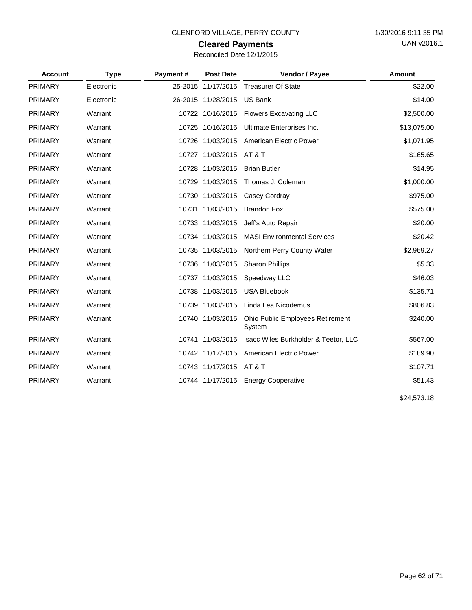# **Cleared Payments**

| Reconciled Date 12/1/2015 |  |  |  |
|---------------------------|--|--|--|
|---------------------------|--|--|--|

| <b>Account</b> | <b>Type</b> | Payment# | <b>Post Date</b>   | Vendor / Payee                             | <b>Amount</b> |
|----------------|-------------|----------|--------------------|--------------------------------------------|---------------|
| PRIMARY        | Electronic  |          | 25-2015 11/17/2015 | <b>Treasurer Of State</b>                  | \$22.00       |
| PRIMARY        | Electronic  |          | 26-2015 11/28/2015 | <b>US Bank</b>                             | \$14.00       |
| <b>PRIMARY</b> | Warrant     |          | 10722 10/16/2015   | <b>Flowers Excavating LLC</b>              | \$2,500.00    |
| <b>PRIMARY</b> | Warrant     |          | 10725 10/16/2015   | Ultimate Enterprises Inc.                  | \$13,075.00   |
| <b>PRIMARY</b> | Warrant     |          | 10726 11/03/2015   | American Electric Power                    | \$1,071.95    |
| <b>PRIMARY</b> | Warrant     |          | 10727 11/03/2015   | AT & T                                     | \$165.65      |
| <b>PRIMARY</b> | Warrant     |          | 10728 11/03/2015   | <b>Brian Butler</b>                        | \$14.95       |
| <b>PRIMARY</b> | Warrant     |          | 10729 11/03/2015   | Thomas J. Coleman                          | \$1,000.00    |
| <b>PRIMARY</b> | Warrant     |          | 10730 11/03/2015   | Casey Cordray                              | \$975.00      |
| <b>PRIMARY</b> | Warrant     |          | 10731 11/03/2015   | <b>Brandon Fox</b>                         | \$575.00      |
| <b>PRIMARY</b> | Warrant     |          | 10733 11/03/2015   | Jeff's Auto Repair                         | \$20.00       |
| <b>PRIMARY</b> | Warrant     |          | 10734 11/03/2015   | <b>MASI Environmental Services</b>         | \$20.42       |
| <b>PRIMARY</b> | Warrant     |          | 10735 11/03/2015   | Northern Perry County Water                | \$2,969.27    |
| <b>PRIMARY</b> | Warrant     |          | 10736 11/03/2015   | <b>Sharon Phillips</b>                     | \$5.33        |
| <b>PRIMARY</b> | Warrant     |          | 10737 11/03/2015   | Speedway LLC                               | \$46.03       |
| <b>PRIMARY</b> | Warrant     |          | 10738 11/03/2015   | <b>USA Bluebook</b>                        | \$135.71      |
| <b>PRIMARY</b> | Warrant     |          | 10739 11/03/2015   | Linda Lea Nicodemus                        | \$806.83      |
| <b>PRIMARY</b> | Warrant     |          | 10740 11/03/2015   | Ohio Public Employees Retirement<br>System | \$240.00      |
| <b>PRIMARY</b> | Warrant     |          | 10741 11/03/2015   | Isacc Wiles Burkholder & Teetor, LLC       | \$567.00      |
| <b>PRIMARY</b> | Warrant     |          | 10742 11/17/2015   | <b>American Electric Power</b>             | \$189.90      |
| <b>PRIMARY</b> | Warrant     |          | 10743 11/17/2015   | AT & T                                     | \$107.71      |
| <b>PRIMARY</b> | Warrant     |          | 10744 11/17/2015   | <b>Energy Cooperative</b>                  | \$51.43       |
|                |             |          |                    |                                            | \$24,573.18   |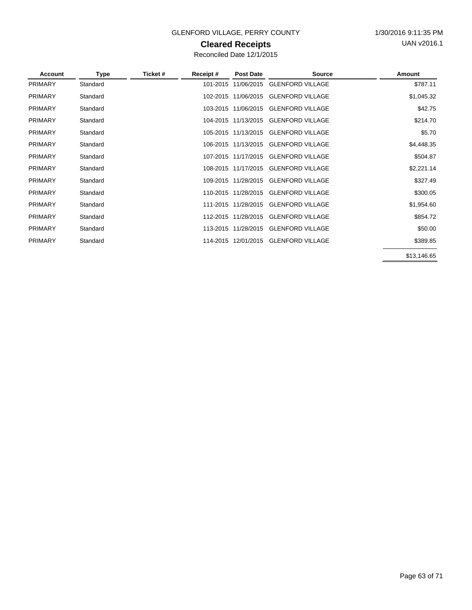### GLENFORD VILLAGE, PERRY COUNTY 1/30/2016 9:11:35 PM

### **Cleared Receipts**

| Account        | <b>Type</b> | Ticket # | Receipt# | <b>Post Date</b>    | <b>Source</b>                        | Amount      |
|----------------|-------------|----------|----------|---------------------|--------------------------------------|-------------|
| <b>PRIMARY</b> | Standard    |          | 101-2015 | 11/06/2015          | <b>GLENFORD VILLAGE</b>              | \$787.11    |
| <b>PRIMARY</b> | Standard    |          |          | 102-2015 11/06/2015 | <b>GLENFORD VILLAGE</b>              | \$1,045.32  |
| <b>PRIMARY</b> | Standard    |          |          | 103-2015 11/06/2015 | <b>GLENFORD VILLAGE</b>              | \$42.75     |
| <b>PRIMARY</b> | Standard    |          |          | 104-2015 11/13/2015 | <b>GLENFORD VILLAGE</b>              | \$214.70    |
| <b>PRIMARY</b> | Standard    |          |          | 105-2015 11/13/2015 | <b>GLENFORD VILLAGE</b>              | \$5.70      |
| <b>PRIMARY</b> | Standard    |          |          |                     | 106-2015 11/13/2015 GLENFORD VILLAGE | \$4,448.35  |
| <b>PRIMARY</b> | Standard    |          |          | 107-2015 11/17/2015 | <b>GLENFORD VILLAGE</b>              | \$504.87    |
| <b>PRIMARY</b> | Standard    |          |          | 108-2015 11/17/2015 | <b>GLENFORD VILLAGE</b>              | \$2,221.14  |
| <b>PRIMARY</b> | Standard    |          |          | 109-2015 11/28/2015 | <b>GLENFORD VILLAGE</b>              | \$327.49    |
| <b>PRIMARY</b> | Standard    |          |          | 110-2015 11/28/2015 | <b>GLENFORD VILLAGE</b>              | \$300.05    |
| <b>PRIMARY</b> | Standard    |          |          | 111-2015 11/28/2015 | <b>GLENFORD VILLAGE</b>              | \$1,954.60  |
| <b>PRIMARY</b> | Standard    |          |          | 112-2015 11/28/2015 | <b>GLENFORD VILLAGE</b>              | \$854.72    |
| <b>PRIMARY</b> | Standard    |          |          | 113-2015 11/28/2015 | <b>GLENFORD VILLAGE</b>              | \$50.00     |
| <b>PRIMARY</b> | Standard    |          |          |                     | 114-2015 12/01/2015 GLENFORD VILLAGE | \$389.85    |
|                |             |          |          |                     |                                      | \$13,146.65 |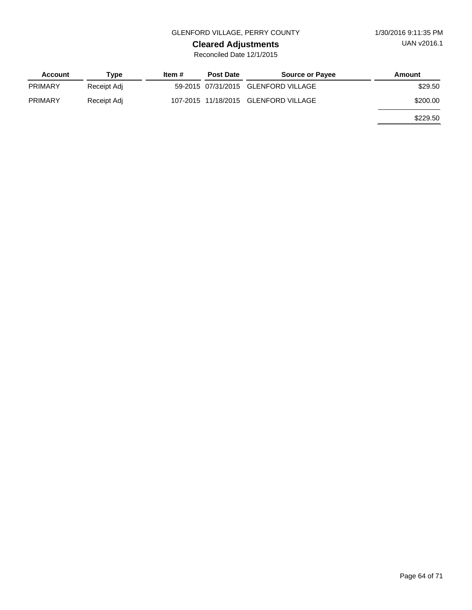### GLENFORD VILLAGE, PERRY COUNTY 1/30/2016 9:11:35 PM

# **Cleared Adjustments**

| Account        | Type        | Item # | <b>Post Date</b> | <b>Source or Payee</b>               | Amount   |
|----------------|-------------|--------|------------------|--------------------------------------|----------|
| <b>PRIMARY</b> | Receipt Adj |        |                  | 59-2015 07/31/2015 GLENFORD VILLAGE  | \$29.50  |
| <b>PRIMARY</b> | Receipt Adj |        |                  | 107-2015 11/18/2015 GLENFORD VILLAGE | \$200.00 |
|                |             |        |                  |                                      | \$229.50 |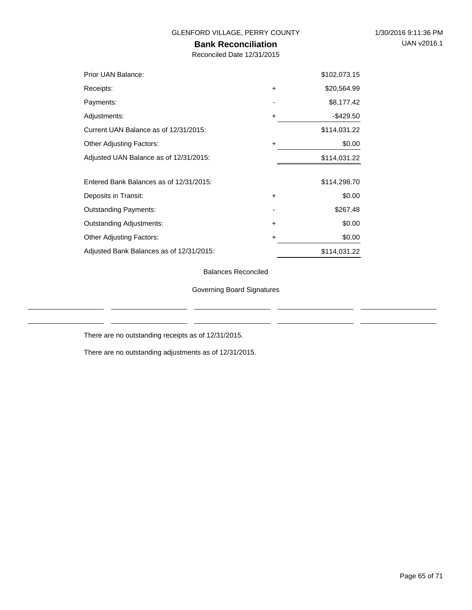### **Bank Reconciliation**

Reconciled Date 12/31/2015

| Prior UAN Balance:                       |           | \$102,073.15 |
|------------------------------------------|-----------|--------------|
| Receipts:                                | $\ddot{}$ | \$20,564.99  |
| Payments:                                |           | \$8,177.42   |
| Adjustments:                             | +         | -\$429.50    |
| Current UAN Balance as of 12/31/2015:    |           | \$114,031.22 |
| <b>Other Adjusting Factors:</b>          | ÷         | \$0.00       |
| Adjusted UAN Balance as of 12/31/2015:   |           | \$114,031.22 |
|                                          |           |              |
| Entered Bank Balances as of 12/31/2015:  |           | \$114,298.70 |
| Deposits in Transit:                     | $\ddot{}$ | \$0.00       |
| <b>Outstanding Payments:</b>             |           | \$267.48     |
| <b>Outstanding Adjustments:</b>          | $\ddot{}$ | \$0.00       |
| <b>Other Adjusting Factors:</b>          | +         | \$0.00       |
| Adjusted Bank Balances as of 12/31/2015: |           | \$114,031.22 |

Balances Reconciled

Governing Board Signatures

There are no outstanding receipts as of 12/31/2015.

There are no outstanding adjustments as of 12/31/2015.

 $\overline{a}$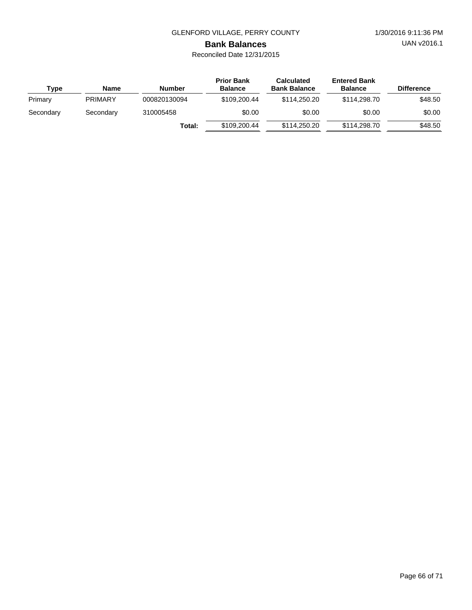UAN v2016.1

**Bank Balances** Reconciled Date 12/31/2015

| Type      | <b>Name</b>    | <b>Number</b> | <b>Prior Bank</b><br><b>Balance</b> | <b>Calculated</b><br><b>Bank Balance</b> | <b>Entered Bank</b><br><b>Balance</b> | <b>Difference</b> |
|-----------|----------------|---------------|-------------------------------------|------------------------------------------|---------------------------------------|-------------------|
| Primary   | <b>PRIMARY</b> | 000820130094  | \$109,200,44                        | \$114,250,20                             | \$114,298.70                          | \$48.50           |
| Secondary | Secondary      | 310005458     | \$0.00                              | \$0.00                                   | \$0.00                                | \$0.00            |
|           |                | Total:        | \$109,200.44                        | \$114,250,20                             | \$114,298.70                          | \$48.50           |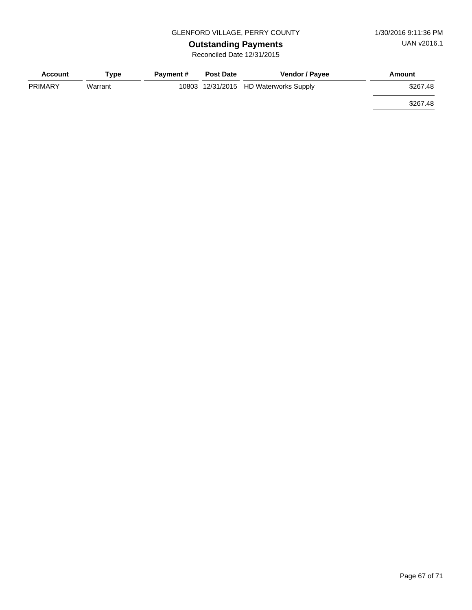**Outstanding Payments** Reconciled Date 12/31/2015

| <b>Account</b> | Type    | <b>Payment #</b> | <b>Post Date</b> | <b>Vendor / Payee</b>                 | Amount   |
|----------------|---------|------------------|------------------|---------------------------------------|----------|
| <b>PRIMARY</b> | Warrant |                  |                  | 10803 12/31/2015 HD Waterworks Supply | \$267.48 |
|                |         |                  |                  |                                       | \$267.48 |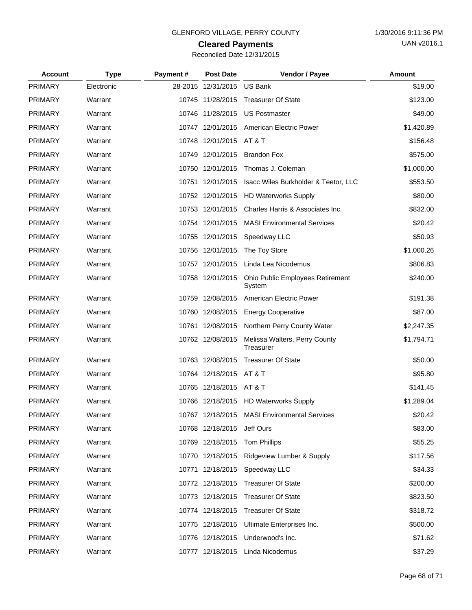# **Cleared Payments**

| Reconciled Date 12/31/2015 |  |  |
|----------------------------|--|--|
|                            |  |  |

| <b>Account</b> | <b>Type</b> | Payment# | <b>Post Date</b>        | Vendor / Payee                               | Amount     |
|----------------|-------------|----------|-------------------------|----------------------------------------------|------------|
| <b>PRIMARY</b> | Electronic  |          | 28-2015 12/31/2015      | <b>US Bank</b>                               | \$19.00    |
| <b>PRIMARY</b> | Warrant     |          | 10745 11/28/2015        | <b>Treasurer Of State</b>                    | \$123.00   |
| <b>PRIMARY</b> | Warrant     |          | 10746 11/28/2015        | <b>US Postmaster</b>                         | \$49.00    |
| <b>PRIMARY</b> | Warrant     |          | 10747 12/01/2015        | American Electric Power                      | \$1,420.89 |
| <b>PRIMARY</b> | Warrant     |          | 10748 12/01/2015        | AT & T                                       | \$156.48   |
| <b>PRIMARY</b> | Warrant     |          | 10749 12/01/2015        | <b>Brandon Fox</b>                           | \$575.00   |
| <b>PRIMARY</b> | Warrant     |          | 10750 12/01/2015        | Thomas J. Coleman                            | \$1,000.00 |
| PRIMARY        | Warrant     |          | 10751 12/01/2015        | Isacc Wiles Burkholder & Teetor, LLC         | \$553.50   |
| <b>PRIMARY</b> | Warrant     |          | 10752 12/01/2015        | <b>HD Waterworks Supply</b>                  | \$80.00    |
| PRIMARY        | Warrant     |          | 10753 12/01/2015        | Charles Harris & Associates Inc.             | \$832.00   |
| <b>PRIMARY</b> | Warrant     |          | 10754 12/01/2015        | <b>MASI Environmental Services</b>           | \$20.42    |
| <b>PRIMARY</b> | Warrant     |          | 10755 12/01/2015        | Speedway LLC                                 | \$50.93    |
| <b>PRIMARY</b> | Warrant     |          | 10756 12/01/2015        | The Toy Store                                | \$1,000.26 |
| <b>PRIMARY</b> | Warrant     |          | 10757 12/01/2015        | Linda Lea Nicodemus                          | \$806.83   |
| <b>PRIMARY</b> | Warrant     |          | 10758 12/01/2015        | Ohio Public Employees Retirement<br>System   | \$240.00   |
| <b>PRIMARY</b> | Warrant     |          | 10759 12/08/2015        | American Electric Power                      | \$191.38   |
| <b>PRIMARY</b> | Warrant     |          | 10760 12/08/2015        | <b>Energy Cooperative</b>                    | \$87.00    |
| <b>PRIMARY</b> | Warrant     |          | 10761 12/08/2015        | Northern Perry County Water                  | \$2,247.35 |
| <b>PRIMARY</b> | Warrant     |          | 10762 12/08/2015        | Melissa Walters, Perry County<br>Treasurer   | \$1,794.71 |
| <b>PRIMARY</b> | Warrant     |          | 10763 12/08/2015        | <b>Treasurer Of State</b>                    | \$50.00    |
| PRIMARY        | Warrant     |          | 10764 12/18/2015 AT & T |                                              | \$95.80    |
| <b>PRIMARY</b> | Warrant     |          | 10765 12/18/2015 AT & T |                                              | \$141.45   |
| <b>PRIMARY</b> | Warrant     |          |                         | 10766 12/18/2015 HD Waterworks Supply        | \$1,289.04 |
| PRIMARY        | Warrant     |          |                         | 10767 12/18/2015 MASI Environmental Services | \$20.42    |
| <b>PRIMARY</b> | Warrant     |          | 10768 12/18/2015        | Jeff Ours                                    | \$83.00    |
| <b>PRIMARY</b> | Warrant     |          | 10769 12/18/2015        | <b>Tom Phillips</b>                          | \$55.25    |
| <b>PRIMARY</b> | Warrant     |          | 10770 12/18/2015        | Ridgeview Lumber & Supply                    | \$117.56   |
| <b>PRIMARY</b> | Warrant     |          | 10771 12/18/2015        | Speedway LLC                                 | \$34.33    |
| <b>PRIMARY</b> | Warrant     |          | 10772 12/18/2015        | <b>Treasurer Of State</b>                    | \$200.00   |
| <b>PRIMARY</b> | Warrant     |          | 10773 12/18/2015        | <b>Treasurer Of State</b>                    | \$823.50   |
| <b>PRIMARY</b> | Warrant     |          | 10774 12/18/2015        | <b>Treasurer Of State</b>                    | \$318.72   |
| <b>PRIMARY</b> | Warrant     |          | 10775 12/18/2015        | Ultimate Enterprises Inc.                    | \$500.00   |
| <b>PRIMARY</b> | Warrant     |          | 10776 12/18/2015        | Underwood's Inc.                             | \$71.62    |
| PRIMARY        | Warrant     |          |                         | 10777 12/18/2015 Linda Nicodemus             | \$37.29    |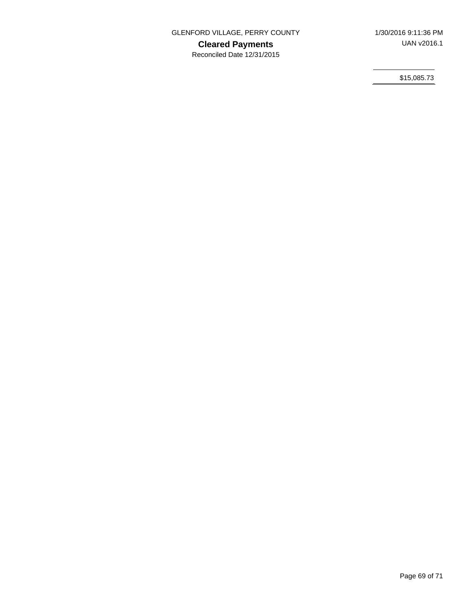**Cleared Payments**

Reconciled Date 12/31/2015

\$15,085.73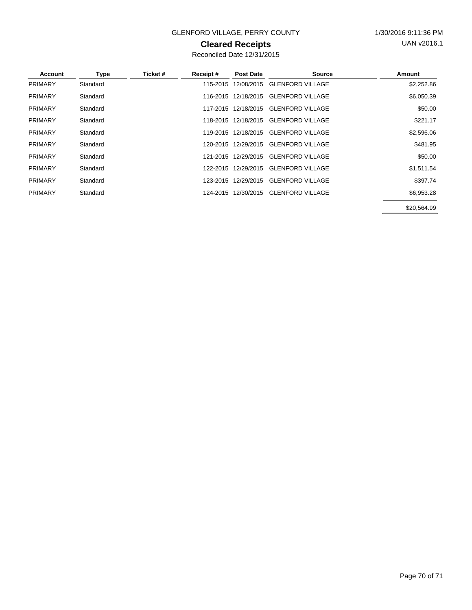### GLENFORD VILLAGE, PERRY COUNTY 1/30/2016 9:11:36 PM

### **Cleared Receipts**

| Account        | <b>Type</b> | Ticket # | Receipt# | <b>Post Date</b>    | <b>Source</b>           | Amount      |
|----------------|-------------|----------|----------|---------------------|-------------------------|-------------|
| <b>PRIMARY</b> | Standard    |          | 115-2015 | 12/08/2015          | <b>GLENFORD VILLAGE</b> | \$2,252.86  |
| <b>PRIMARY</b> | Standard    |          |          | 116-2015 12/18/2015 | <b>GLENFORD VILLAGE</b> | \$6,050.39  |
| <b>PRIMARY</b> | Standard    |          |          | 117-2015 12/18/2015 | <b>GLENFORD VILLAGE</b> | \$50.00     |
| <b>PRIMARY</b> | Standard    |          |          | 118-2015 12/18/2015 | <b>GLENFORD VILLAGE</b> | \$221.17    |
| <b>PRIMARY</b> | Standard    |          |          | 119-2015 12/18/2015 | <b>GLENFORD VILLAGE</b> | \$2,596.06  |
| <b>PRIMARY</b> | Standard    |          | 120-2015 | 12/29/2015          | <b>GLENFORD VILLAGE</b> | \$481.95    |
| <b>PRIMARY</b> | Standard    |          |          | 121-2015 12/29/2015 | <b>GLENFORD VILLAGE</b> | \$50.00     |
| <b>PRIMARY</b> | Standard    |          |          | 122-2015 12/29/2015 | <b>GLENFORD VILLAGE</b> | \$1,511.54  |
| <b>PRIMARY</b> | Standard    |          | 123-2015 | 12/29/2015          | <b>GLENFORD VILLAGE</b> | \$397.74    |
| <b>PRIMARY</b> | Standard    |          | 124-2015 | 12/30/2015          | <b>GLENFORD VILLAGE</b> | \$6,953.28  |
|                |             |          |          |                     |                         | \$20.564.99 |